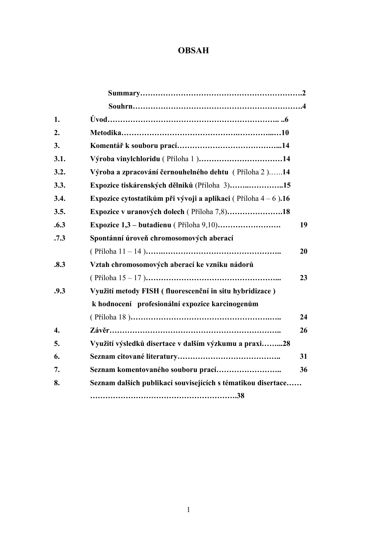# **OBSAH**

| 1.   |                                                                 |    |
|------|-----------------------------------------------------------------|----|
| 2.   |                                                                 |    |
| 3.   |                                                                 |    |
| 3.1. | Výroba vinylchloridu (Příloha 1)14                              |    |
| 3.2. | Výroba a zpracování černouhelného dehtu (Příloha 2)14           |    |
| 3.3. | Expozice tiskárenských dělníků (Příloha 3)15                    |    |
| 3.4. | Expozice cytostatikům při vývoji a aplikaci (Příloha $4-6$ ).16 |    |
| 3.5. | Expozice v uranových dolech (Příloha 7,8)18                     |    |
| .6.3 |                                                                 | 19 |
| .7.3 | Spontánní úroveň chromosomových aberací                         |    |
|      |                                                                 | 20 |
| .8.3 | Vztah chromosomových aberací ke vzniku nádorů                   |    |
|      |                                                                 | 23 |
| .9.3 | Využití metody FISH (fluorescenční in situ hybridizace)         |    |
|      | k hodnocení profesionální expozice karcinogenům                 |    |
|      |                                                                 | 24 |
| 4.   |                                                                 | 26 |
| 5.   | Využití výsledků disertace v dalším výzkumu a praxi28           |    |
| 6.   |                                                                 | 31 |
| 7.   |                                                                 | 36 |
| 8.   | Seznam dalších publikací souvisejících s tématikou disertace    |    |
|      |                                                                 |    |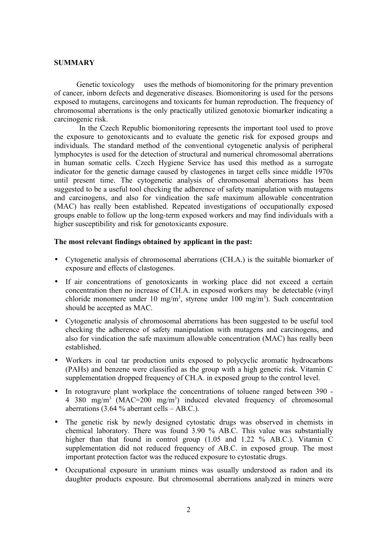#### **SUMMARY**

Genetic toxicology uses the methods of biomonitoring for the primary prevention of cancer, inborn defects and degenerative diseases. Biomonitoring is used for the persons exposed to mutagens, carcinogens and toxicants for human reproduction. The frequency of chromosomal aberrations is the only practically utilized genotoxic biomarker indicating a carcinogenic risk.

In the Czech Republic biomonitoring represents the important tool used to prove the exposure to genotoxicants and to evaluate the genetic risk for exposed groups and individuals. The standard method of the conventional cytogenetic analysis of peripheral lymphocytes is used for the detection of structural and numerical chromosomal aberrations in human somatic cells. Czech Hygiene Service has used this method as a surrogate indicator for the genetic damage caused by clastogenes in target cells since middle 1970s until present time. The cytogenetic analysis of chromosomal aberrations has been suggested to be a useful tool checking the adherence of safety manipulation with mutagens and carcinogens, and also for vindication the safe maximum allowable concentration (MAC) has really been established. Repeated investigations of occupationally exposed groups enable to follow up the long-term exposed workers and may find individuals with a higher susceptibility and risk for genotoxicants exposure.

#### **The most relevant findings obtained by applicant in the past:**

- Cytogenetic analysis of chromosomal aberrations (CH.A.) is the suitable biomarker of exposure and effects of clastogenes.
- If air concentrations of genotoxicants in working place did not exceed a certain concentration then no increase of CH.A. in exposed workers may be detectable (vinyl chloride monomere under 10 mg/m<sup>3</sup>, styrene under 100 mg/m<sup>3</sup>). Such concentration should be accepted as MAC.
- Cytogenetic analysis of chromosomal aberrations has been suggested to be useful tool checking the adherence of safety manipulation with mutagens and carcinogens, and also for vindication the safe maximum allowable concentration (MAC) has really been established.
- Workers in coal tar production units exposed to polycyclic aromatic hydrocarbons (PAHs) and benzene were classified as the group with a high genetic risk. Vitamin C supplementation dropped frequency of CH.A. in exposed group to the control level.
- In rotogravure plant workplace the concentrations of toluene ranged between 390 -4 380 mg/m<sup>3</sup> (MAC=200 mg/m<sup>3</sup>) induced elevated frequency of chromosomal aberrations  $(3.64\%$  aberrant cells – AB.C.).
- The genetic risk by newly designed cytostatic drugs was observed in chemists in chemical laboratory. There was found 3.90 % AB.C. This value was substantially higher than that found in control group (1.05 and 1.22 % AB.C.). Vitamin C supplementation did not reduced frequency of AB.C. in exposed group. The most important protection factor was the reduced exposure to cytostatic drugs.
- Occupational exposure in uranium mines was usually understood as radon and its daughter products exposure. But chromosomal aberrations analyzed in miners were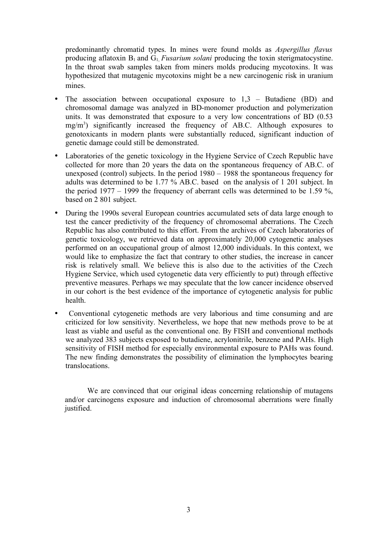predominantly chromatid types. In mines were found molds as *Aspergillus flavus* producing aflatoxin  $B_1$  and  $G_1$ , *Fusarium solani* producing the toxin sterigmatocystine. In the throat swab samples taken from miners molds producing mycotoxins. It was hypothesized that mutagenic mycotoxins might be a new carcinogenic risk in uranium mines.

- The association between occupational exposure to  $1,3$  Butadiene (BD) and chromosomal damage was analyzed in BD-monomer production and polymerization units. It was demonstrated that exposure to a very low concentrations of BD (0.53 mg/m<sup>3</sup>) significantly increased the frequency of AB.C. Although exposures to genotoxicants in modern plants were substantially reduced, significant induction of genetic damage could still be demonstrated.
- Laboratories of the genetic toxicology in the Hygiene Service of Czech Republic have collected for more than 20 years the data on the spontaneous frequency of AB.C. of unexposed (control) subjects. In the period 1980 – 1988 the spontaneous frequency for adults was determined to be 1.77 % AB.C. based on the analysis of 1 201 subject. In the period  $1977 - 1999$  the frequency of aberrant cells was determined to be 1.59 %, based on 2 801 subject.
- During the 1990s several European countries accumulated sets of data large enough to test the cancer predictivity of the frequency of chromosomal aberrations. The Czech Republic has also contributed to this effort. From the archives of Czech laboratories of genetic toxicology, we retrieved data on approximately 20,000 cytogenetic analyses performed on an occupational group of almost 12,000 individuals. In this context, we would like to emphasize the fact that contrary to other studies, the increase in cancer risk is relatively small. We believe this is also due to the activities of the Czech Hygiene Service, which used cytogenetic data very efficiently to put) through effective preventive measures. Perhaps we may speculate that the low cancer incidence observed in our cohort is the best evidence of the importance of cytogenetic analysis for public health.
- Conventional cytogenetic methods are very laborious and time consuming and are criticized for low sensitivity. Nevertheless, we hope that new methods prove to be at least as viable and useful as the conventional one. By FISH and conventional methods we analyzed 383 subjects exposed to butadiene, acrylonitrile, benzene and PAHs. High sensitivity of FISH method for especially environmental exposure to PAHs was found. The new finding demonstrates the possibility of elimination the lymphocytes bearing translocations.

We are convinced that our original ideas concerning relationship of mutagens and/or carcinogens exposure and induction of chromosomal aberrations were finally justified.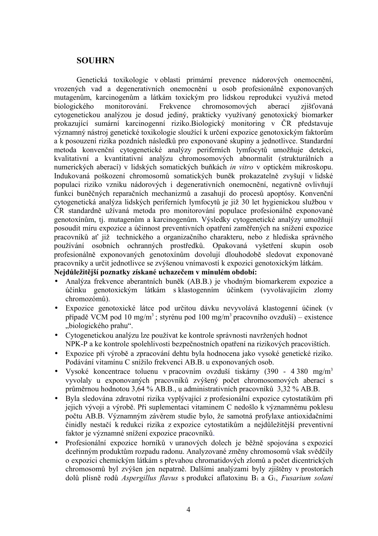### **SOUHRN**

Genetická toxikologie v oblasti primární prevence nádorových onemocnění, vrozených vad a degenerativních onemocnění u osob profesionálně exponovaných mutagenům, karcinogenům a látkám toxickým pro lidskou reprodukci využívá metod biologického monitorování. Frekvence chromosomových aberací zjišťovaná cytogenetickou analýzou je dosud jediný, prakticky využívaný genotoxický biomarker prokazující sumární karcinogenní riziko.Biologický monitoring v ČR představuje významný nástroj genetické toxikologie sloužící k určení expozice genotoxickým faktorům a k posouzení rizika pozdních následků pro exponované skupiny a jednotlivce. Standardní metoda konvenční cytogenetické analýzy periferních lymfocytů umožňuje detekci, kvalitativní a kvantitativní analýzu chromosomových abnormalit (strukturálních a numerických aberací) v lidských somatických buňkách *in vitro* v optickém mikroskopu. Indukovaná poškození chromosomů somatických buněk prokazatelně zvyšují v lidské populaci riziko vzniku nádorových i degenerativních onemocnění, negativně ovlivňují funkci buněčných reparačních mechanizmů a zasahují do procesů apoptósy. Konvenční cytogenetická analýza lidských periferních lymfocytů je již 30 let hygienickou službou v ČR standardně užívaná metoda pro monitorování populace profesionálně exponované genotoxínům, tj. mutagenům a karcinogenům. Výsledky cytogenetické analýzy umožňují posoudit míru expozice a účinnost preventivních opatření zaměřených na snížení expozice pracovníků ať již technického a organizačního charakteru, nebo z hlediska správného používání osobních ochranných prostředků. Opakovaná vyšetření skupin osob profesionálně exponovaných genotoxínům dovolují dlouhodobě sledovat exponované pracovníky a určit jednotlivce se zvýšenou vnímavostí k expozici genotoxickým látkám.

#### **Nejdůležitější poznatky získané uchazečem v minulém období:**

- Analýza frekvence aberantních buněk (AB.B.) je vhodným biomarkerem expozice a účinku genotoxickým látkám s klastogenním účinkem (vyvolávajícím zlomy chromozómů).
- Expozice genotoxické látce pod určitou dávku nevyvolává klastogenní účinek (v případě VCM pod 10 mg/m<sup>3</sup>; styrénu pod 100 mg/m<sup>3</sup> pracovního ovzduší) – existence "biologického prahu".
- Cytogenetickou analýzu lze používat ke kontrole správnosti navržených hodnot NPK-P a ke kontrole spolehlivosti bezpečnostních opatření na rizikových pracovištích.
- Expozice při výrobě a zpracování dehtu byla hodnocena jako vysoké genetické riziko. Podávání vitamínu C snížilo frekvenci AB.B. u exponovaných osob.
- Vysoké koncentrace toluenu v pracovním ovzduší tiskárny (390 4 380 mg/m<sup>3</sup>) vyvolaly u exponovaných pracovníků zvýšený počet chromosomových aberací s průměrnou hodnotou 3,64 % AB.B., u administrativních pracovníků 3,32 % AB.B.
- Byla sledována zdravotní rizika vyplývající z profesionální expozice cytostatikům při jejich vývoji a výrobě. Při suplementaci vitaminem C nedošlo k významnému poklesu počtu AB.B. Významným závěrem studie bylo, že samotná profylaxe antioxidačními činidly nestačí k redukci rizika z expozice cytostatikům a nejdůležitější preventivní faktor je významné snížení expozice pracovníků.
- Profesionální expozice horníků v uranových dolech je běžně spojována s expozicí dceřinným produktům rozpadu radonu. Analyzované změny chromosomů však svědčily o expozici chemickým látkám s převahou chromatidových zlomů a počet dicentrických chromosomů byl zvýšen jen nepatrně. Dalšími analýzami byly zjištěny v prostorách dolů plísně rodů *Aspergillus flavus* s produkcí aflatoxinu B<sup>1</sup> a G1, *Fusarium solani*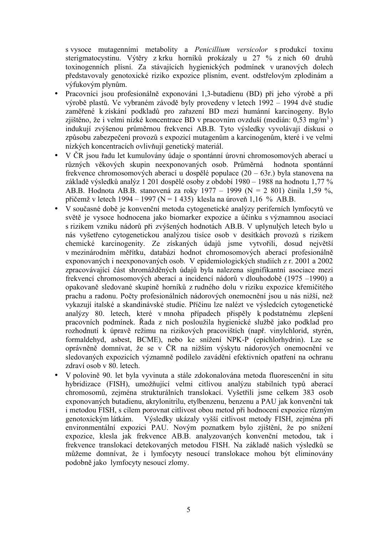s vysoce mutagenními metabolity a *Penicillium versicolor* s produkcí toxinu sterigmatocystinu. Výtěry z krku horníků prokázaly u 27 % z nich 60 druhů toxinogenních plísní. Za stávajících hygienických podmínek v uranových dolech představovaly genotoxické riziko expozice plísním, event. odstřelovým zplodinám a výfukovým plynům.

- Pracovníci jsou profesionálně exponováni 1,3-butadienu (BD) při jeho výrobě a při výrobě plastů. Ve vybraném závodě byly provedeny v letech 1992 – 1994 dvě studie zaměřené k získání podkladů pro zařazení BD mezi humánní karcinogeny. Bylo zjištěno, že i velmi nízké koncentrace BD v pracovním ovzduší (medián: 0,53 mg/m<sup>3</sup>) indukují zvýšenou průměrnou frekvenci AB.B. Tyto výsledky vyvolávají diskusi o způsobu zabezpečení provozů s expozicí mutagenům a karcinogenům, které i ve velmi nízkých koncentracích ovlivňují genetický materiál.
- V ČR jsou řadu let kumulovány údaje o spontánní úrovni chromosomových aberací u různých věkových skupin neexponovaných osob. Průměrná hodnota spontánní frekvence chromosomových aberací u dospělé populace (20 – 63r.) byla stanovena na základě výsledků analýz 1 201 dospělé osoby z období 1980 – 1988 na hodnotu 1,77 % AB.B. Hodnota AB.B. stanovená za roky 1977 – 1999 (N = 2 801) činila 1,59 %, přičemž v letech 1994 – 1997 (N = 1 435) klesla na úroveň 1,16 % AB.B.
- V současné době je konvenční metoda cytogenetické analýzy periferních lymfocytů ve světě je vysoce hodnocena jako biomarker expozice a účinku s významnou asociací s rizikem vzniku nádorů při zvýšených hodnotách AB.B. V uplynulých letech bylo u nás vyšetřeno cytogenetickou analýzou tisíce osob v desítkách provozů s rizikem chemické karcinogenity. Ze získaných údajů jsme vytvořili, dosud největší v mezinárodním měřítku, databázi hodnot chromosomových aberací profesionálně exponovaných i neexponovaných osob. V epidemiologických studiích z r. 2001 a 2002 zpracovávající část shromážděných údajů byla nalezena signifikantní asociace mezi frekvencí chromosomových aberací a incidencí nádorů v dlouhodobě (1975 –1990) a opakovaně sledované skupině horníků z rudného dolu v riziku expozice křemičitého prachu a radonu. Počty profesionálních nádorových onemocnění jsou u nás nižší, než vykazují italské a skandinávské studie. Příčinu lze nalézt ve výsledcích cytogenetické analýzy 80. letech, které v mnoha případech přispěly k podstatnému zlepšení pracovních podmínek. Řada z nich posloužila hygienické službě jako podklad pro rozhodnutí k úpravě režimu na rizikových pracovištích (např. vinylchlorid, styrén, formaldehyd, asbest, BCME), nebo ke snížení NPK-P (epichlorhydrin). Lze se oprávněně domnívat, že se v ČR na nižším výskytu nádorových onemocnění ve sledovaných expozicích významně podílelo zavádění efektivních opatření na ochranu zdraví osob v 80. letech.
- V polovině 90. let byla vyvinuta a stále zdokonalována metoda fluorescenční in situ hybridizace (FISH), umožňující velmi citlivou analýzu stabilních typů aberací chromosomů, zejména strukturálních translokací. Vyšetřili jsme celkem 383 osob exponovaných butadienu, akrylonitrilu, etylbenzenu, benzenu a PAU jak konvenční tak i metodou FISH, s cílem porovnat citlivost obou metod při hodnocení expozice různým genotoxickým látkám. Výsledky ukázaly vyšší citlivost metody FISH, zejména při environmentální expozici PAU. Novým poznatkem bylo zjištění, že po snížení expozice, klesla jak frekvence AB.B. analyzovaných konvenční metodou, tak i frekvence translokací detekovaných metodou FISH. Na základě našich výsledků se můžeme domnívat, že i lymfocyty nesoucí translokace mohou být eliminovány podobně jako lymfocyty nesoucí zlomy.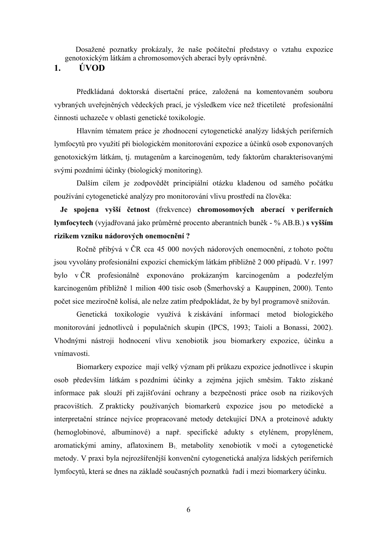Dosažené poznatky prokázaly, že naše počáteční představy o vztahu expozice genotoxickým látkám a chromosomových aberací byly oprávněné.

**1. ÚVOD**

Předkládaná doktorská disertační práce, založená na komentovaném souboru vybraných uveřejněných vědeckých prací, je výsledkem více než třicetileté profesionální činnosti uchazeče v oblasti genetické toxikologie.

Hlavním tématem práce je zhodnocení cytogenetické analýzy lidských periferních lymfocytů pro využití při biologickém monitorování expozice a účinků osob exponovaných genotoxickým látkám, tj. mutagenům a karcinogenům, tedy faktorům charakterisovanými svými pozdními účinky (biologický monitoring).

Dalším cílem je zodpovědět principiální otázku kladenou od samého počátku používání cytogenetické analýzy pro monitorování vlivu prostředí na člověka:

**Je spojena vyšší četnost** (frekvence) **chromosomových aberací v periferních lymfocytech** (vyjadřovaná jako průměrné procento aberantních buněk - % AB.B.) **s vyšším rizikem vzniku nádorových onemocnění ?** 

Ročně přibývá v ČR cca 45 000 nových nádorových onemocnění, z tohoto počtu jsou vyvolány profesionální expozicí chemickým látkám přibližně 2 000 případů. V r. 1997 bylo v ČR profesionálně exponováno prokázaným karcinogenům a podezřelým karcinogenům přibližně 1 milion 400 tisíc osob (Šmerhovský a Kauppinen, 2000). Tento počet sice meziročně kolísá, ale nelze zatím předpokládat, že by byl programově snižován.

Genetická toxikologie využívá k získávání informací metod biologického monitorování jednotlivců i populačních skupin (IPCS, 1993; Taioli a Bonassi, 2002). Vhodnými nástroji hodnocení vlivu xenobiotik jsou biomarkery expozice, účinku a vnímavosti.

Biomarkery expozice mají velký význam při průkazu expozice jednotlivce i skupin osob především látkám s pozdními účinky a zejména jejich směsím. Takto získané informace pak slouží při zajišťování ochrany a bezpečnosti práce osob na rizikových pracovištích. Z prakticky používaných biomarkerů expozice jsou po metodické a interpretační stránce nejvíce propracované metody detekující DNA a proteinové adukty (hemoglobinové, albuminové) a např. specifické adukty s etylénem, propylénem, aromatickými aminy, aflatoxinem  $B_1$  metabolity xenobiotik v moči a cytogenetické metody. V praxi byla nejrozšířenější konvenční cytogenetická analýza lidských periferních lymfocytů, která se dnes na základě současných poznatků řadí i mezi biomarkery účinku.

6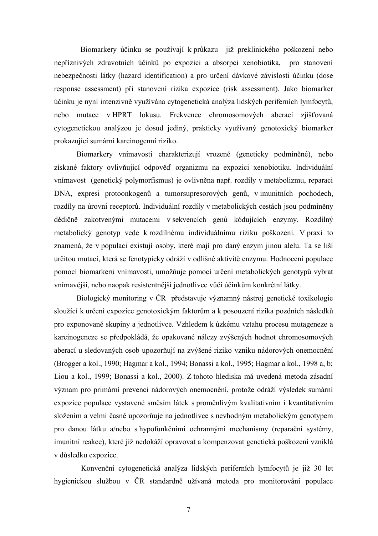Biomarkery účinku se používají k průkazu již preklinického poškození nebo nepříznivých zdravotních účinků po expozici a absorpci xenobiotika, pro stanovení nebezpečnosti látky (hazard identification) a pro určení dávkové závislosti účinku (dose response assessment) při stanovení rizika expozice (risk assessment). Jako biomarker účinku je nyní intenzivně využívána cytogenetická analýza lidských periferních lymfocytů, nebo mutace v HPRT lokusu. Frekvence chromosomových aberací zjišťovaná cytogenetickou analýzou je dosud jediný, prakticky využívaný genotoxický biomarker prokazující sumární karcinogenní riziko.

Biomarkery vnímavosti charakterizují vrozené (geneticky podmíněné), nebo získané faktory ovlivňující odpověď organizmu na expozici xenobiotiku. Individuální vnímavost (genetický polymorfismus) je ovlivněna např. rozdíly v metabolizmu, reparaci DNA, expresi protoonkogenů a tumorsupresorových genů, v imunitních pochodech, rozdíly na úrovni receptorů. Individuální rozdíly v metabolických cestách jsou podmíněny dědičně zakotvenými mutacemi v sekvencích genů kódujících enzymy. Rozdílný metabolický genotyp vede k rozdílnému individuálnímu riziku poškození. V praxi to znamená, že v populaci existují osoby, které mají pro daný enzym jinou alelu. Ta se liší určitou mutací, která se fenotypicky odráží v odlišné aktivitě enzymu. Hodnocení populace pomocí biomarkerů vnímavosti, umožňuje pomocí určení metabolických genotypů vybrat vnímavější, nebo naopak resistentnější jednotlivce vůči účinkům konkrétní látky.

Biologický monitoring v ČR představuje významný nástroj genetické toxikologie sloužící k určení expozice genotoxickým faktorům a k posouzení rizika pozdních následků pro exponované skupiny a jednotlivce. Vzhledem k úzkému vztahu procesu mutageneze a karcinogeneze se předpokládá, že opakované nálezy zvýšených hodnot chromosomových aberací u sledovaných osob upozorňují na zvýšené riziko vzniku nádorových onemocnění (Brogger a kol., 1990; Hagmar a kol., 1994; Bonassi a kol., 1995; Hagmar a kol., 1998 a, b; Liou a kol., 1999; Bonassi a kol., 2000). Z tohoto hlediska má uvedená metoda zásadní význam pro primární prevenci nádorových onemocnění, protože odráží výsledek sumární expozice populace vystavené směsím látek s proměnlivým kvalitativním i kvantitativním složením a velmi časně upozorňuje na jednotlivce s nevhodným metabolickým genotypem pro danou látku a/nebo s hypofunkčními ochrannými mechanismy (reparační systémy, imunitní reakce), které již nedokáží opravovat a kompenzovat genetická poškození vzniklá v důsledku expozice.

Konvenční cytogenetická analýza lidských periferních lymfocytů je již 30 let hygienickou službou v ČR standardně užívaná metoda pro monitorování populace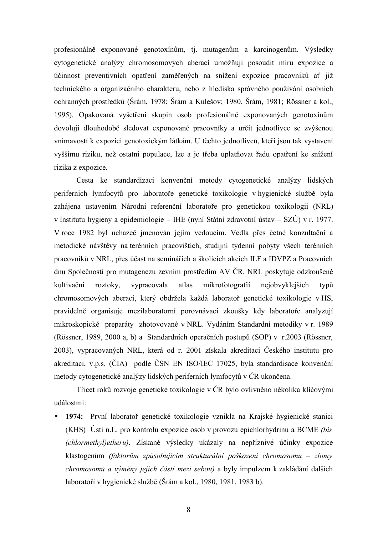profesionálně exponované genotoxínům, tj. mutagenům a karcinogenům. Výsledky cytogenetické analýzy chromosomových aberací umožňují posoudit míru expozice a účinnost preventivních opatření zaměřených na snížení expozice pracovníků ať již technického a organizačního charakteru, nebo z hlediska správného používání osobních ochranných prostředků (Šrám, 1978; Šrám a Kulešov; 1980, Šrám, 1981; Rössner a kol., 1995). Opakovaná vyšetření skupin osob profesionálně exponovaných genotoxínům dovolují dlouhodobě sledovat exponované pracovníky a určit jednotlivce se zvýšenou vnímavostí k expozici genotoxickým látkám. U těchto jednotlivců, kteří jsou tak vystaveni vyššímu riziku, než ostatní populace, lze a je třeba uplatňovat řadu opatření ke snížení rizika z expozice.

Cesta ke standardizaci konvenční metody cytogenetické analýzy lidských periferních lymfocytů pro laboratoře genetické toxikologie v hygienické službě byla zahájena ustavením Národní referenční laboratoře pro genetickou toxikologii (NRL) v Institutu hygieny a epidemiologie – IHE (nyní Státní zdravotní ústav – SZÚ) v r. 1977. V roce 1982 byl uchazeč jmenován jejím vedoucím. Vedla přes četné konzultační a metodické návštěvy na terénních pracovištích, studijní týdenní pobyty všech terénních pracovníků v NRL, přes účast na seminářích a školících akcích ILF a IDVPZ a Pracovních dnů Společnosti pro mutagenezu zevním prostředím AV ČR. NRL poskytuje odzkoušené kultivační roztoky, vypracovala atlas mikrofotografií nejobvyklejších typů chromosomových aberací, který obdržela každá laboratoř genetické toxikologie v HS, pravidelně organisuje mezilaboratorní porovnávací zkoušky kdy laboratoře analyzují mikroskopické preparáty zhotovované v NRL. Vydáním Standardní metodiky v r. 1989 (Rössner, 1989, 2000 a, b) a Standardních operačních postupů (SOP) v r.2003 (Rössner, 2003), vypracovaných NRL, která od r. 2001 získala akreditaci Českého institutu pro akreditaci, v.p.s. (ČIA) podle ČSN EN ISO/IEC 17025, byla standardisace konvenční metody cytogenetické analýzy lidských periferních lymfocytů v ČR ukončena.

Třicet roků rozvoje genetické toxikologie v ČR bylo ovlivněno několika klíčovými událostmi:

• **1974:** První laboratoř genetické toxikologie vznikla na Krajské hygienické stanici (KHS) Ústí n.L. pro kontrolu expozice osob v provozu epichlorhydrinu a BCME *(bis (chlormethyl)etheru)*. Získané výsledky ukázaly na nepříznivé účinky expozice klastogenům *(faktorům způsobujícím strukturální poškození chromosomů – zlomy chromosomů a výměny jejich částí mezi sebou)* a byly impulzem k zakládání dalších laboratoří v hygienické službě (Šrám a kol., 1980, 1981, 1983 b).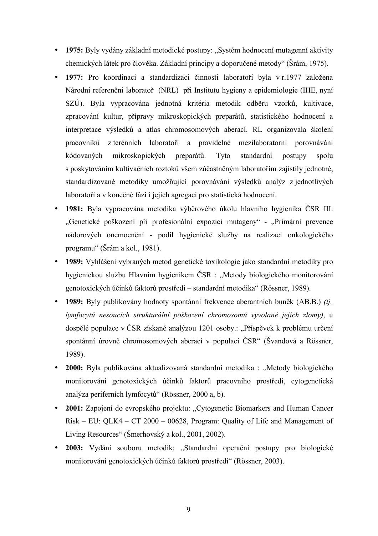- 1975: Byly vydány základní metodické postupy: "Systém hodnocení mutagenní aktivity chemických látek pro člověka. Základní principy a doporučené metody" (Šrám, 1975).
- **1977:** Pro koordinaci a standardizaci činnosti laboratoří byla v r.1977 založena Národní referenční laboratoř (NRL) při Institutu hygieny a epidemiologie (IHE, nyní SZÚ). Byla vypracována jednotná kritéria metodik odběru vzorků, kultivace, zpracování kultur, přípravy mikroskopických preparátů, statistického hodnocení a interpretace výsledků a atlas chromosomových aberací. RL organizovala školení pracovníků z terénních laboratoří a pravidelné mezilaboratorní porovnávání kódovaných mikroskopických preparátů. Tyto standardní postupy spolu s poskytováním kultivačních roztoků všem zúčastněným laboratořím zajistily jednotné, standardizované metodiky umožňující porovnávání výsledků analýz z jednotlivých laboratoří a v konečné fázi i jejich agregaci pro statistická hodnocení.
- **1981:** Byla vypracována metodika výběrového úkolu hlavního hygienika ČSR III: "Genetické poškození při profesionální expozici mutageny" - "Primární prevence nádorových onemocnění - podíl hygienické služby na realizaci onkologického programu" (Šrám a kol., 1981).
- **1989:** Vyhlášení vybraných metod genetické toxikologie jako standardní metodiky pro hygienickou službu Hlavním hygienikem ČSR : "Metody biologického monitorování genotoxických účinků faktorů prostředí – standardní metodika" (Rössner, 1989).
- **1989:** Byly publikovány hodnoty spontánní frekvence aberantních buněk (AB.B.) *(tj. lymfocytů nesoucích strukturální poškození chromosomů vyvolané jejich zlomy)*, u dospělé populace v ČSR získané analýzou 1201 osoby.: "Příspěvek k problému určení spontánní úrovně chromosomových aberací v populaci ČSR" (Švandová a Rössner, 1989).
- **2000:** Byla publikována aktualizovaná standardní metodika : "Metody biologického monitorování genotoxických účinků faktorů pracovního prostředí, cytogenetická analýza periferních lymfocytů" (Rössner, 2000 a, b).
- **2001:** Zapojení do evropského projektu: "Cytogenetic Biomarkers and Human Cancer Risk – EU: QLK4 – CT 2000 – 00628, Program: Quality of Life and Management of Living Resources" (Šmerhovský a kol., 2001, 2002).
- **2003:** Vydání souboru metodik: "Standardní operační postupy pro biologické monitorování genotoxických účinků faktorů prostředí" (Rössner, 2003).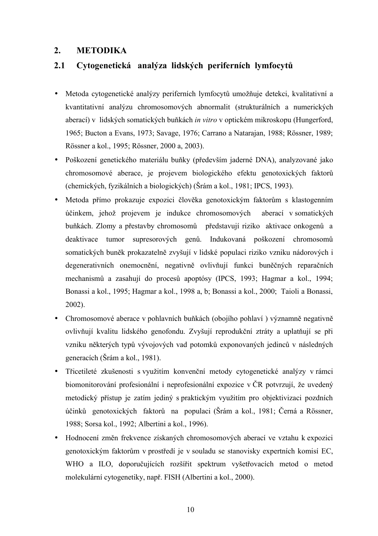## **2. METODIKA**

## **2.1 Cytogenetická analýza lidských periferních lymfocytů**

- Metoda cytogenetické analýzy periferních lymfocytů umožňuje detekci, kvalitativní a kvantitativní analýzu chromosomových abnormalit (strukturálních a numerických aberací) v lidských somatických buňkách *in vitro* v optickém mikroskopu (Hungerford, 1965; Bucton a Evans, 1973; Savage, 1976; Carrano a Natarajan, 1988; Rössner, 1989; Rössner a kol., 1995; Rössner, 2000 a, 2003).
- Poškození genetického materiálu buňky (především jaderné DNA), analyzované jako chromosomové aberace, je projevem biologického efektu genotoxických faktorů (chemických, fyzikálních a biologických) (Šrám a kol., 1981; IPCS, 1993).
- Metoda přímo prokazuje expozici člověka genotoxickým faktorům s klastogenním účinkem, jehož projevem je indukce chromosomových aberací v somatických buňkách. Zlomy a přestavby chromosomů představují riziko aktivace onkogenů a deaktivace tumor supresorových genů. Indukovaná poškození chromosomů somatických buněk prokazatelně zvyšují v lidské populaci riziko vzniku nádorových i degenerativních onemocnění, negativně ovlivňují funkci buněčných reparačních mechanismů a zasahují do procesů apoptósy (IPCS, 1993; Hagmar a kol., 1994; Bonassi a kol., 1995; Hagmar a kol., 1998 a, b; Bonassi a kol., 2000; Taioli a Bonassi, 2002).
- Chromosomové aberace v pohlavních buňkách (obojího pohlaví) významně negativně ovlivňují kvalitu lidského genofondu. Zvyšují reprodukční ztráty a uplatňují se při vzniku některých typů vývojových vad potomků exponovaných jedinců v následných generacích (Šrám a kol., 1981).
- Třicetileté zkušenosti s využitím konvenční metody cytogenetické analýzy v rámci biomonitorování profesionální i neprofesionální expozice v ČR potvrzují, že uvedený metodický přístup je zatím jediný s praktickým využitím pro objektivizaci pozdních účinků genotoxických faktorů na populaci (Šrám a kol., 1981; Černá a Rössner, 1988; Sorsa kol., 1992; Albertini a kol., 1996).
- Hodnocení změn frekvence získaných chromosomových aberací ve vztahu k expozici genotoxickým faktorům v prostředí je v souladu se stanovisky expertních komisí EC, WHO a ILO, doporučujících rozšířit spektrum vyšetřovacích metod o metod molekulární cytogenetiky, např. FISH (Albertini a kol., 2000).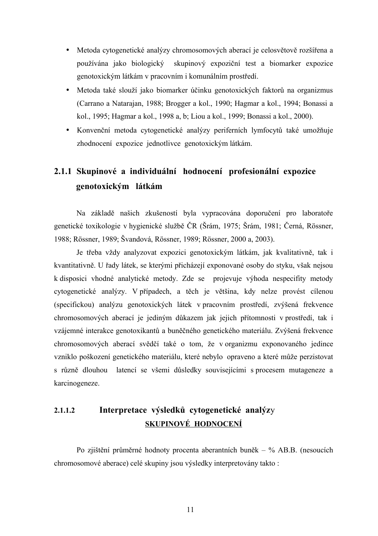- Metoda cytogenetické analýzy chromosomových aberací je celosvětově rozšířena a používána jako biologický skupinový expoziční test a biomarker expozice genotoxickým látkám v pracovním i komunálním prostředí.
- Metoda také slouží jako biomarker účinku genotoxických faktorů na organizmus (Carrano a Natarajan, 1988; Brogger a kol., 1990; Hagmar a kol., 1994; Bonassi a kol., 1995; Hagmar a kol., 1998 a, b; Liou a kol., 1999; Bonassi a kol., 2000).
- Konvenční metoda cytogenetické analýzy periferních lymfocytů také umožňuje zhodnocení expozice jednotlivce genotoxickým látkám.

# **2.1.1 Skupinové a individuální hodnocení profesionální expozice genotoxickým látkám**

Na základě našich zkušeností byla vypracována doporučení pro laboratoře genetické toxikologie v hygienické službě ČR (Šrám, 1975; Šrám, 1981; Černá, Rössner, 1988; Rössner, 1989; Švandová, Rössner, 1989; Rössner, 2000 a, 2003).

Je třeba vždy analyzovat expozici genotoxickým látkám, jak kvalitativně, tak i kvantitativně. U řady látek, se kterými přicházejí exponované osoby do styku, však nejsou k disposici vhodné analytické metody. Zde se projevuje výhoda nespecifity metody cytogenetické analýzy. V případech, a těch je většina, kdy nelze provést cílenou (specifickou) analýzu genotoxických látek v pracovním prostředí, zvýšená frekvence chromosomových aberací je jediným důkazem jak jejich přítomnosti v prostředí, tak i vzájemné interakce genotoxikantů a buněčného genetického materiálu. Zvýšená frekvence chromosomových aberací svědčí také o tom, že v organizmu exponovaného jedince vzniklo poškození genetického materiálu, které nebylo opraveno a které může perzistovat s různě dlouhou latencí se všemi důsledky souvisejícími s procesem mutageneze a karcinogeneze.

## **2.1.1.2 Interpretace výsledků cytogenetické analýz**y **SKUPINOVÉ HODNOCENÍ**

Po zjištění průměrné hodnoty procenta aberantních buněk – % AB.B. (nesoucích chromosomové aberace) celé skupiny jsou výsledky interpretovány takto :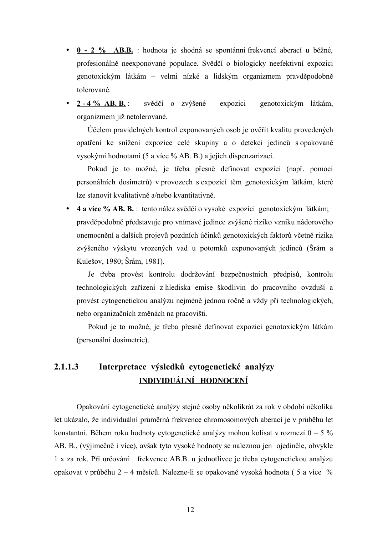- **0 - 2 % AB.B.** : hodnota je shodná se spontánní frekvencí aberací u běžné, profesionálně neexponované populace. Svědčí o biologicky neefektivní expozici genotoxickým látkám – velmi nízké a lidským organizmem pravděpodobně tolerované.
- **2 4 % AB. B.** : svědčí o zvýšené expozici genotoxickým látkám, organizmem již netolerované.

Účelem pravidelných kontrol exponovaných osob je ověřit kvalitu provedených opatření ke snížení expozice celé skupiny a o detekci jedinců s opakovaně vysokými hodnotami (5 a více % AB. B.) a jejich dispenzarizaci.

Pokud je to možné, je třeba přesně definovat expozici (např. pomocí personálních dosimetrů) v provozech s expozicí těm genotoxickým látkám, které lze stanovit kvalitativně a/nebo kvantitativně.

• **4 a ví ce % AB. B.** : tento nález svědčí o vysoké expozici genotoxickým látkám; pravděpodobně představuje pro vnímavé jedince zvýšené riziko vzniku nádorového onemocnění a dalších projevů pozdních účinků genotoxických faktorů včetně rizika zvýšeného výskytu vrozených vad u potomků exponovaných jedinců (Šrám a Kulešov, 1980; Šrám, 1981).

Je třeba provést kontrolu dodržování bezpečnostních předpisů, kontrolu technologických zařízení z hlediska emise škodlivin do pracovního ovzduší a provést cytogenetickou analýzu nejméně jednou ročně a vždy při technologických, nebo organizačních změnách na pracovišti.

Pokud je to možné, je třeba přesně definovat expozici genotoxickým látkám (personální dosimetrie).

## **2.1.1.3 Interpretace výsledků cytogenetické analýzy INDIVIDUÁLNÍ HODNOCENÍ**

Opakování cytogenetické analýzy stejné osoby několikrát za rok v období několika let ukázalo, že individuální průměrná frekvence chromosomových aberací je v průběhu let konstantní. Během roku hodnoty cytogenetické analýzy mohou kolísat v rozmezí 0 – 5 % AB. B., (výjimečně i více), avšak tyto vysoké hodnoty se naleznou jen ojediněle, obvykle 1 x za rok. Při určování frekvence AB.B. u jednotlivce je třeba cytogenetickou analýzu opakovat v průběhu 2 – 4 měsíců. Nalezne-li se opakovaně vysoká hodnota ( 5 a více %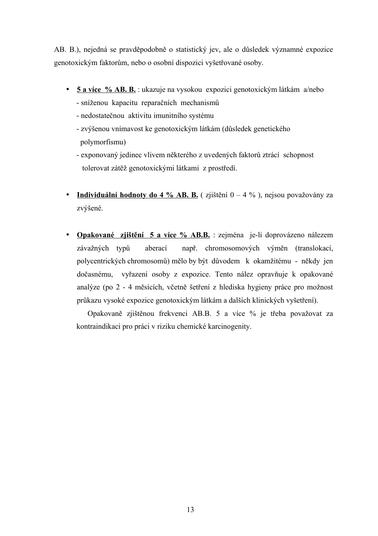AB. B.), nejedná se pravděpodobně o statistický jev, ale o důsledek významné expozice genotoxickým faktorům, nebo o osobní dispozici vyšetřované osoby.

- **5 a více % AB. B.** : ukazuje na vysokou expozici genotoxickým látkám a/nebo - sníženou kapacitu reparačních mechanismů
	- nedostatečnou aktivitu imunitního systému
	- zvýšenou vnímavost ke genotoxickým látkám (důsledek genetického polymorfismu)
	- exponovaný jedinec vlivem některého z uvedených faktorů ztrácí schopnost tolerovat zátěž genotoxickými látkami z prostředí.
- **Individuální hodnoty do 4 % AB. B.** (zjištění  $0 4$  %), nejsou považovány za zvýšené.
- **Opakované zjištění 5 a více % AB.B.** : zejména je-li doprovázeno nálezem závažných typů aberací např. chromosomových výměn (translokací, polycentrických chromosomů) mělo by být důvodem k okamžitému - někdy jen dočasnému, vyřazení osoby z expozice. Tento nález opravňuje k opakované analýze (po 2 - 4 měsících, včetně šetření z hlediska hygieny práce pro možnost průkazu vysoké expozice genotoxickým látkám a dalších klinických vyšetření).

Opakovaně zjištěnou frekvenci AB.B. 5 a více % je třeba považovat za kontraindikaci pro práci v riziku chemické karcinogenity.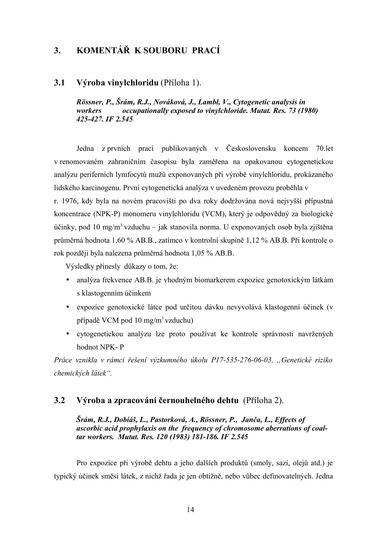# **3. KOMENTÁŘ K SOUBORU PRACÍ**

#### **3.1 Výroba vinylchloridu** (Příloha 1).

*Rössner, P., Šrám, R.J., Nováková, J., Lambl, V., Cytogenetic analysis in workers occupationally exposed to vinylchloride. Mutat. Res. 73 (1980) 425-427. IF 2.545*

Jedna z prvních prací publikovaných v Československu koncem 70.let v renomovaném zahraničním časopisu byla zaměřena na opakovanou cytogenetickou analýzu periferních lymfocytů mužů exponovaných při výrobě vinylchloridu, prokázaného lidského karcinogenu. První cytogenetická analýza v uvedeném provozu proběhla v

r. 1976, kdy byla na novém pracovišti po dva roky dodržována nová nejvyšší přípustná koncentrace (NPK-P) monomeru vinylchloridu (VCM), který je odpovědný za biologické účinky, pod 10 mg/m<sup>3</sup> vzduchu – jak stanovila norma. U exponovaných osob byla zjištěna průměrná hodnota 1,60 % AB.B., zatímco v kontrolní skupině 1,12 % AB.B. Při kontrole o rok později byla nalezena průměrná hodnota 1,05 % AB.B.

Výsledky přinesly důkazy o tom, že:

- analýza frekvence AB.B. je vhodným biomarkerem expozice genotoxickým látkám s klastogenním účinkem
- expozice genotoxické látce pod určitou dávku nevyvolává klastogenní účinek (v případě VCM pod 10 mg/m<sup>3</sup>vzduchu)
- cytogenetickou analýzu lze proto používat ke kontrole správnosti navržených hodnot NPK- P

*Práce vznikla v rámci řešení výzkumného úkolu P17-535-276-06-03, "Genetické riziko chemických látek".*

#### **3.2 Výroba a zpracování černouhelného dehtu** (Příloha 2).

*Šrám, R.J., Dobiáš, L., Pastorková, A., Rössner, P., Janča, L., Effects of ascorbic acid prophylaxis on the frequency of chromosome aberrations of coaltar workers. Mutat. Res. 120 (1983) 181-186. IF 2.545*

Pro expozice při výrobě dehtu a jeho dalších produktů (smoly, sazí, olejů atd.) je typický účinek směsí látek, z nichž řada je jen obtížně, nebo vůbec definovatelných. Jedna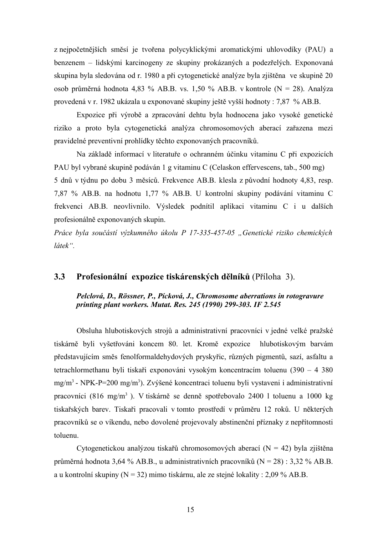z nejpočetnějších směsí je tvořena polycyklickými aromatickými uhlovodíky (PAU) a benzenem – lidskými karcinogeny ze skupiny prokázaných a podezřelých. Exponovaná skupina byla sledována od r. 1980 a při cytogenetické analýze byla zjištěna ve skupině 20 osob průměrná hodnota 4,83 % AB.B. vs. 1,50 % AB.B. v kontrole (N = 28). Analýza provedená v r. 1982 ukázala u exponované skupiny ještě vyšší hodnoty : 7,87 % AB.B.

Expozice při výrobě a zpracování dehtu byla hodnocena jako vysoké genetické riziko a proto byla cytogenetická analýza chromosomových aberací zařazena mezi pravidelné preventivní prohlídky těchto exponovaných pracovníků.

Na základě informací v literatuře o ochranném účinku vitaminu C při expozicích PAU byl vybrané skupině podáván 1 g vitaminu C (Celaskon effervescens, tab., 500 mg) 5 dnů v týdnu po dobu 3 měsíců. Frekvence AB.B. klesla z původní hodnoty 4,83, resp. 7,87 % AB.B. na hodnotu 1,77 % AB.B. U kontrolní skupiny podávání vitaminu C frekvenci AB.B. neovlivnilo. Výsledek podnítil aplikaci vitaminu C i u dalších profesionálně exponovaných skupin.

*Práce byla součástí výzkumného úkolu P 17-335-457-05 "Genetické riziko chemických látek".*

#### **3.3 Profesionální expozice tiskárenských dělníků** (Příloha 3).

#### *Pelclová, D., Rössner, P., Pícková, J., Chromosome aberrations in rotogravure printing plant workers. Mutat. Res. 245 (1990) 299-303. IF 2.545*

Obsluha hlubotiskových strojů a administrativní pracovníci v jedné velké pražské tiskárně byli vyšetřováni koncem 80. let. Kromě expozice hlubotiskovým barvám představujícím směs fenolformaldehydových pryskyřic, různých pigmentů, sazí, asfaltu a tetrachlormethanu byli tiskaři exponováni vysokým koncentracím toluenu (390 – 4 380 mg/m<sup>3</sup> - NPK-P=200 mg/m<sup>3</sup>). Zvýšené koncentraci toluenu byli vystaveni i administrativní pracovníci (816 mg/m<sup>3</sup>). V tiskárně se denně spotřebovalo 2400 l toluenu a 1000 kg tiskařských barev. Tiskaři pracovali v tomto prostředí v průměru 12 roků. U některých pracovníků se o víkendu, nebo dovolené projevovaly abstinenční příznaky z nepřítomnosti toluenu.

Cytogenetickou analýzou tiskařů chromosomových aberací ( $N = 42$ ) byla zjištěna průměrná hodnota 3,64 % AB.B., u administrativních pracovníků (N = 28) : 3,32 % AB.B. a u kontrolní skupiny (N = 32) mimo tiskárnu, ale ze stejné lokality : 2,09 % AB.B.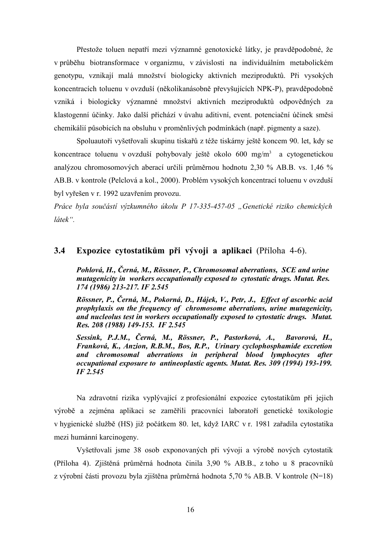Přestože toluen nepatří mezi významné genotoxické látky, je pravděpodobné, že v průběhu biotransformace v organizmu, v závislosti na individuálním metabolickém genotypu, vznikají malá množství biologicky aktivních meziproduktů. Při vysokých koncentracích toluenu v ovzduší (několikanásobně převyšujících NPK-P), pravděpodobně vzniká i biologicky významné množství aktivních meziproduktů odpovědných za klastogenní účinky. Jako další přichází v úvahu aditivní, event. potenciační účinek směsi chemikálií působících na obsluhu v proměnlivých podmínkách (např. pigmenty a saze).

Spoluautoři vyšetřovali skupinu tiskařů z téže tiskárny ještě koncem 90. let, kdy se koncentrace toluenu v ovzduší pohybovaly ještě okolo 600 mg/m<sup>3</sup> a cytogenetickou analýzou chromosomových aberací určili průměrnou hodnotu 2,30 % AB.B. vs. 1,46 % AB.B. v kontrole (Pelclová a kol., 2000). Problém vysokých koncentrací toluenu v ovzduší byl vyřešen v r. 1992 uzavřením provozu.

*Práce byla součástí výzkumného úkolu P 17-335-457-05 "Genetické riziko chemických látek".*

#### **3.4 Expozice cytostatikům při vývoji a aplikaci** (Příloha 4-6).

*Pohlová, H., Černá, M., Rössner, P., Chromosomal aberrations, SCE and urine mutagenicity in workers occupationally exposed to cytostatic drugs. Mutat. Res. 174 (1986) 213-217. IF 2.545*

*Rössner, P., Černá, M., Pokorná, D., Hájek, V., Petr, J., Effect of ascorbic acid prophylaxis on the frequency of chromosome aberrations, urine mutagenicity, and nucleolus test in workers occupationally exposed to cytostatic drugs. Mutat. Res. 208 (1988) 149-153. IF 2.545*

*Sessink, P.J.M., Černá, M., Rössner, P., Pastorková, A., Bavorová, H., Franková, K., Anzion, R.B.M., Bos, R.P., Urinary cyclophosphamide excretion and chromosomal aberrations in peripheral blood lymphocytes after occupational exposure to antineoplastic agents. Mutat. Res. 309 (1994) 193-199. IF 2.545*

Na zdravotní rizika vyplývající z profesionální expozice cytostatikům při jejich výrobě a zejména aplikaci se zaměřili pracovníci laboratoří genetické toxikologie v hygienické službě (HS) již počátkem 80. let, když IARC v r. 1981 zařadila cytostatika mezi humánní karcinogeny.

Vyšetřovali jsme 38 osob exponovaných při vývoji a výrobě nových cytostatik (Příloha 4). Zjištěná průměrná hodnota činila 3,90 % AB.B., z toho u 8 pracovníků z výrobní části provozu byla zjištěna průměrná hodnota 5,70 % AB.B. V kontrole (N=18)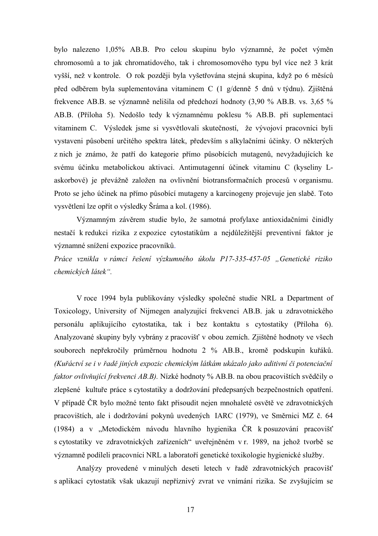bylo nalezeno 1,05% AB.B. Pro celou skupinu bylo významné, že počet výměn chromosomů a to jak chromatidového, tak i chromosomového typu byl více než 3 krát vyšší, než v kontrole. O rok později byla vyšetřována stejná skupina, když po 6 měsíců před odběrem byla suplementována vitaminem C (1 g/denně 5 dnů v týdnu). Zjištěná frekvence AB.B. se významně nelišila od předchozí hodnoty (3,90 % AB.B. vs. 3,65 % AB.B. (Příloha 5). Nedošlo tedy k významnému poklesu % AB.B. při suplementaci vitaminem C. Výsledek jsme si vysvětlovali skutečností, že vývojoví pracovníci byli vystaveni působení určitého spektra látek, především s alkylačními účinky. O některých z nich je známo, že patří do kategorie přímo působících mutagenů, nevyžadujících ke svému účinku metabolickou aktivaci. Antimutagenní účinek vitaminu C (kyseliny Laskorbové) je převážně založen na ovlivnění biotransformačních procesů v organismu. Proto se jeho účinek na přímo působící mutageny a karcinogeny projevuje jen slabě. Toto vysvětlení lze opřít o výsledky Šráma a kol. (1986).

Významným závěrem studie bylo, že samotná profylaxe antioxidačními činidly nestačí k redukci rizika z expozice cytostatikům a nejdůležitější preventivní faktor je významné snížení expozice pracovníků.

*Práce vznikla v rámci řešení výzkumného úkolu P17-335-457-05 "Genetické riziko chemických látek".*

V roce 1994 byla publikovány výsledky společné studie NRL a Department of Toxicology, University of Nijmegen analyzující frekvenci AB.B. jak u zdravotnického personálu aplikujícího cytostatika, tak i bez kontaktu s cytostatiky (Příloha 6). Analyzované skupiny byly vybrány z pracovišť v obou zemích. Zjištěné hodnoty ve všech souborech nepřekročily průměrnou hodnotu 2 % AB.B., kromě podskupin kuřáků. *(Kuřáctví se i v řadě jiných expozic chemickým látkám ukázalo jako aditivní či potenciační faktor ovlivňující frekvenci AB.B).* Nízké hodnoty % AB.B. na obou pracovištích svědčily o zlepšené kultuře práce s cytostatiky a dodržování předepsaných bezpečnostních opatření. V případě ČR bylo možné tento fakt přisoudit nejen mnohaleté osvětě ve zdravotnických pracovištích, ale i dodržování pokynů uvedených IARC (1979), ve Směrnici MZ č. 64 (1984) a v "Metodickém návodu hlavního hygienika ČR k posuzování pracovišť s cytostatiky ve zdravotnických zařízeních" uveřejněném v r. 1989, na jehož tvorbě se významně podíleli pracovníci NRL a laboratoří genetické toxikologie hygienické služby.

Analýzy provedené v minulých deseti letech v řadě zdravotnických pracovišť s aplikací cytostatik však ukazují nepříznivý zvrat ve vnímání rizika. Se zvyšujícím se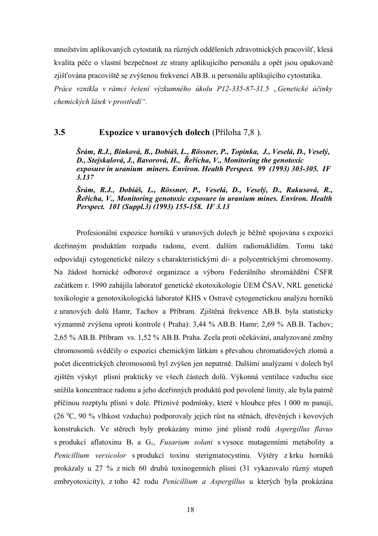množstvím aplikovaných cytostatik na různých odděleních zdravotnických pracovišť, klesá kvalita péče o vlastní bezpečnost ze strany aplikujícího personálu a opět jsou opakovaně zjišťována pracoviště se zvýšenou frekvencí AB.B. u personálu aplikujícího cytostatika. *Práce vznikla v rámci řešení výzkumného úkolu P12-335-87-31.5 "Genetické účinky chemických látek v prostředí".*

#### **3.5 Expozice v uranových dolech** (Příloha 7,8 ).

*Šrám, R.J., Binková, B., Dobiáš, L., Rössner, P., Topinka, J., Veselá, D., Veselý, D., Stejskalová, J., Bavorová, H., Řeřicha, V., Monitoring the genotoxic exposure in uranium miners. Environ. Health Perspect. 99 (1993) 303-305. IF 3.137*

*Šrám, R.J., Dobiáš, L., Rössner, P., Veselá, D., Veselý, D., Rakusová, R., Řeřicha, V., Monitoring genotoxic exposure in uranium mines. Environ. Health Perspect. 101 (Suppl.3) (1993) 155-158. IF 3.13*

Profesionální expozice horníků v uranových dolech je běžně spojována s expozicí dceřinným produktům rozpadu radonu, event. dalším radionuklidům. Tomu také odpovídají cytogenetické nálezy s charakteristickými di- a polycentrickými chromosomy. Na žádost hornické odborové organizace a výboru Federálního shromáždění ČSFR začátkem r. 1990 zahájila laboratoř genetické ekotoxikologie ÚEM ČSAV, NRL genetické toxikologie a genotoxikologická laboratoř KHS v Ostravě cytogenetickou analýzu horníků z uranových dolů Hamr, Tachov a Příbram. Zjištěná frekvence AB.B. byla statisticky významně zvýšena oproti kontrole ( Praha): 3,44 % AB.B. Hamr; 2,69 % AB.B. Tachov; 2,65 % AB.B. Příbram vs. 1,52 % AB.B. Praha. Zcela proti očekávání, analyzované změny chromosomů svědčily o expozici chemickým látkám s převahou chromatidových zlomů a počet dicentrických chromosomů byl zvýšen jen nepatrně. Dalšími analýzami v dolech byl zjištěn výskyt plísní prakticky ve všech částech dolů. Výkonná ventilace vzduchu sice snížila koncentrace radonu a jeho dceřinných produktů pod povolené limity, ale byla patrně příčinou rozptylu plísní v dole. Příznivé podmínky, které v hloubce přes 1 000 m panují, (26 <sup>0</sup>C, 90 % vlhkost vzduchu) podporovaly jejich růst na stěnách, dřevěných i kovových konstrukcích. Ve stěrech byly prokázány mimo jiné plísně rodů *Aspergillus flavus* s produkcí aflatoxinu B<sup>1</sup> a G1, *Fusarium solani* s vysoce mutagenními metabolity a *Penicillium versicolor* s produkcí toxinu sterigmatocystinu. Výtěry z krku horníků prokázaly u 27 % z nich 60 druhů toxinogenních plísní (31 vykazovalo různý stupeň embryotoxicity), z toho 42 rodu *Penicillium a Aspergillus* u kterých byla prokázána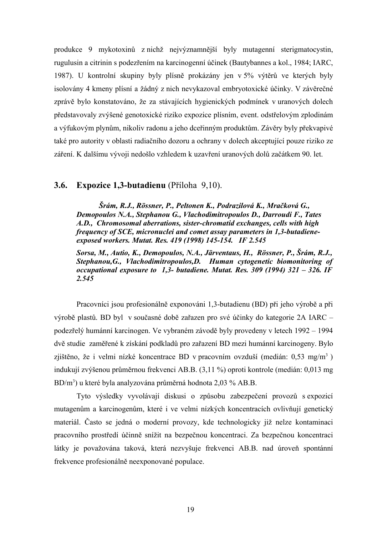produkce 9 mykotoxinů z nichž nejvýznamnější byly mutagenní sterigmatocystin, rugulusin a citrinin s podezřením na karcinogenní účinek (Bautybannes a kol., 1984; IARC, 1987). U kontrolní skupiny byly plísně prokázány jen v 5% výtěrů ve kterých byly isolovány 4 kmeny plísní a žádný z nich nevykazoval embryotoxické účinky. V závěrečné zprávě bylo konstatováno, že za stávajících hygienických podmínek v uranových dolech představovaly zvýšené genotoxické riziko expozice plísním, event. odstřelovým zplodinám a výfukovým plynům, nikoliv radonu a jeho dceřinným produktům. Závěry byly překvapivé také pro autority v oblasti radiačního dozoru a ochrany v dolech akceptující pouze riziko ze záření. K dalšímu vývoji nedošlo vzhledem k uzavření uranových dolů začátkem 90. let.

#### **3.6. Expozice 1,3-butadienu** (Příloha 9,10).

*Šrám, R.J., Rössner, P., Peltonen K., Podrazilová K., Mračková G., Demopoulos N.A., Stephanou G., Vlachodimitropoulos D., Darroudi F., Tates A.D., Chromosomal aberrations, sister-chromatid exchanges, cells with high frequency of SCE, micronuclei and comet assay parameters in 1,3-butadieneexposed workers. Mutat. Res. 419 (1998) 145-154. IF 2.545*

*Sorsa, M., Autio, K., Demopoulos, N.A., Järventaus, H., Rössner, P., Šrám, R.J., Stephanou,G., Vlachodimitropoulos,D. Human cytogenetic biomonitoring of occupational exposure to 1,3- butadiene. Mutat. Res. 309 (1994) 321 – 326. IF 2.545*

Pracovníci jsou profesionálně exponováni 1,3-butadienu (BD) při jeho výrobě a při výrobě plastů. BD byl v současné době zařazen pro své účinky do kategorie 2A IARC – podezřelý humánní karcinogen. Ve vybraném závodě byly provedeny v letech 1992 – 1994 dvě studie zaměřené k získání podkladů pro zařazení BD mezi humánní karcinogeny. Bylo zjištěno, že i velmi nízké koncentrace BD v pracovním ovzduší (medián: 0,53 mg/m<sup>3</sup>) indukují zvýšenou průměrnou frekvenci AB.B. (3,11 %) oproti kontrole (medián: 0,013 mg BD/m<sup>3</sup>) u které byla analyzována průměrná hodnota 2,03 % AB.B.

Tyto výsledky vyvolávají diskusi o způsobu zabezpečení provozů s expozicí mutagenům a karcinogenům, které i ve velmi nízkých koncentracích ovlivňují genetický materiál. Často se jedná o moderní provozy, kde technologicky již nelze kontaminaci pracovního prostředí účinně snížit na bezpečnou koncentraci. Za bezpečnou koncentraci látky je považována taková, která nezvyšuje frekvenci AB.B. nad úroveň spontánní frekvence profesionálně neexponované populace.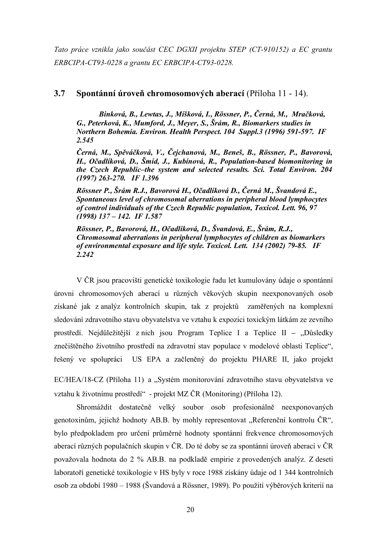*Tato práce vznikla jako součást CEC DGXII projektu STEP (CT-910152) a EC grantu ERBCIPA-CT93-0228 a grantu EC ERBCIPA-CT93-0228.*

#### **3.7 Spontánní úroveň chromosomových aberací** (Příloha 11 - 14).

*Binková, B., Lewtas, J., Míšková, I., Rössner, P., Černá, M., Mračková, G., Peterková, K., Mumford, J., Meyer, S., Šrám, R., Biomarkers studies in Northern Bohemia. Environ. Health Perspect. 104 Suppl.3 (1996) 591-597. IF 2.545*

*Černá, M., Spěváčková, V., Čejchanová, M., Beneš, B., Rössner, P., Bavorová, H., Očadlíková, D., Šmíd, J., Kubínová, R., Population-based biomonitoring in the Czech Republic–the system and selected results. Sci. Total Environ. 204 (1997) 263-270. IF 1.396*

*Rössner P., Šrám R.J., Bavorová H., Očadlíková D., Černá M., Švandová E., Spontaneous level of chromosomal aberrations in peripheral blood lymphocytes of control individuals of the Czech Republic population, Toxicol. Lett. 96, 97 (1998) 137 – 142. IF 1.587*

*Rössner, P., Bavorová, H., Očadlíková, D., Švandová, E., Šrám, R.J., Chromosomal aberrations in peripheral lymphocytes of children as biomarkers of environmental exposure and life style. Toxicol. Lett. 134 (2002) 79-85. IF 2.242*

V ČR jsou pracovišti genetické toxikologie řadu let kumulovány údaje o spontánní úrovni chromosomových aberací u různých věkových skupin neexponovaných osob získané jak z analýz kontrolních skupin, tak z projektů zaměřených na komplexní sledování zdravotního stavu obyvatelstva ve vztahu k expozici toxickým látkám ze zevního prostředí. Nejdůležitější z nich jsou Program Teplice I a Teplice II – "Důsledky znečištěného životního prostředí na zdravotní stav populace v modelové oblasti Teplice", řešený ve spolupráci US EPA a začleněný do projektu PHARE II, jako projekt

EC/HEA/18-CZ (Příloha 11) a "Systém monitorování zdravotního stavu obyvatelstva ve vztahu k životnímu prostředí" - projekt MZ ČR (Monitoring) (Příloha 12).

Shromáždit dostatečně velký soubor osob profesionálně neexponovaných genotoxinům, jejichž hodnoty AB.B. by mohly representovat "Referenční kontrolu ČR", bylo předpokladem pro určení průměrné hodnoty spontánní frekvence chromosomových aberací různých populačních skupin v ČR. Do té doby se za spontánní úroveň aberací v ČR považovala hodnota do 2 % AB.B. na podkladě empirie z provedených analýz. Z deseti laboratoří genetické toxikologie v HS byly v roce 1988 získány údaje od 1 344 kontrolních osob za období 1980 – 1988 (Švandová a Rössner, 1989). Po použití výběrových kriterií na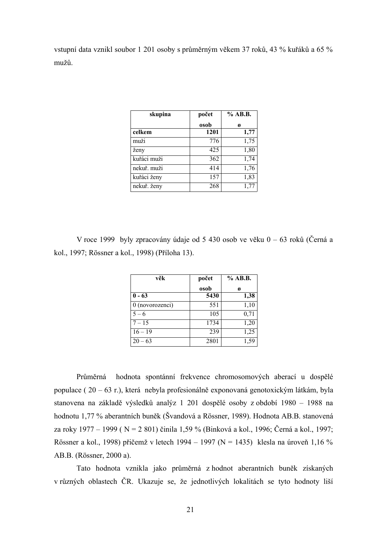vstupní data vznikl soubor 1 201 osoby s průměrným věkem 37 roků, 43 % kuřáků a 65 % mužů.

| skupina     | počet | % AB.B. |
|-------------|-------|---------|
|             | osob  | ø       |
| celkem      | 1201  | 1,77    |
| muži        | 776   | 1,75    |
| ženy        | 425   | 1,80    |
| kuřáci muži | 362   | 1,74    |
| nekuř. muži | 414   | 1,76    |
| kuřáci ženy | 157   | 1,83    |
| nekuř. ženy | 268   |         |

V roce 1999 byly zpracovány údaje od 5 430 osob ve věku 0 – 63 roků (Černá a kol., 1997; Rössner a kol., 1998) (Příloha 13).

| věk             | počet | % AB.B. |
|-----------------|-------|---------|
|                 | osob  | ø       |
| $0 - 63$        | 5430  | 1,38    |
| 0 (novorozenci) | 551   | 1,10    |
| $5 - 6$         | 105   | 0,71    |
| $7 - 15$        | 1734  | 1,20    |
| $16 - 19$       | 239   | 1,25    |
| $20 - 63$       | 2801  | 1,59    |

Průměrná hodnota spontánní frekvence chromosomových aberací u dospělé populace ( 20 – 63 r.), která nebyla profesionálně exponovaná genotoxickým látkám, byla stanovena na základě výsledků analýz 1 201 dospělé osoby z období 1980 – 1988 na hodnotu 1,77 % aberantních buněk (Švandová a Rössner, 1989). Hodnota AB.B. stanovená za roky 1977 – 1999 ( N = 2 801) činila 1,59 % (Binková a kol., 1996; Černá a kol., 1997; Rössner a kol., 1998) přičemž v letech 1994 – 1997 (N = 1435) klesla na úroveň 1,16 % AB.B. (Rössner, 2000 a).

Tato hodnota vznikla jako průměrná z hodnot aberantních buněk získaných v různých oblastech ČR. Ukazuje se, že jednotlivých lokalitách se tyto hodnoty liší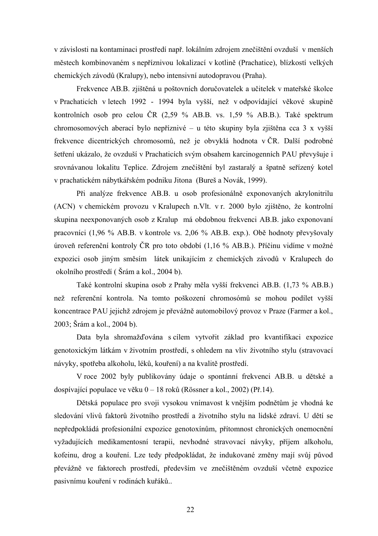v závislosti na kontaminaci prostředí např. lokálním zdrojem znečištění ovzduší v menších městech kombinovaném s nepříznivou lokalizací v kotlině (Prachatice), blízkostí velkých chemických závodů (Kralupy), nebo intensivní autodopravou (Praha).

Frekvence AB.B. zjištěná u poštovních doručovatelek a učitelek v mateřské školce v Prachaticích v letech 1992 - 1994 byla vyšší, než v odpovídající věkové skupině kontrolních osob pro celou ČR (2,59 % AB.B. vs. 1,59 % AB.B.). Také spektrum chromosomových aberací bylo nepříznivé – u této skupiny byla zjištěna cca 3 x vyšší frekvence dicentrických chromosomů, než je obvyklá hodnota v ČR. Další podrobné šetření ukázalo, že ovzduší v Prachaticích svým obsahem karcinogenních PAU převyšuje i srovnávanou lokalitu Teplice. Zdrojem znečištění byl zastaralý a špatně seřízený kotel v prachatickém nábytkářském podniku Jitona (Bureš a Novák, 1999).

Při analýze frekvence AB.B. u osob profesionálně exponovaných akrylonitrilu (ACN) v chemickém provozu v Kralupech n.Vlt. v r. 2000 bylo zjištěno, že kontrolní skupina neexponovaných osob z Kralup má obdobnou frekvenci AB.B. jako exponovaní pracovníci (1,96 % AB.B. v kontrole vs. 2,06 % AB.B. exp.). Obě hodnoty převyšovaly úroveň referenční kontroly ČR pro toto období (1,16 % AB.B.). Příčinu vidíme v možné expozici osob jiným směsím látek unikajícím z chemických závodů v Kralupech do okolního prostředí ( Šrám a kol., 2004 b).

Také kontrolní skupina osob z Prahy měla vyšší frekvenci AB.B. (1,73 % AB.B.) než referenční kontrola. Na tomto poškození chromosómů se mohou podílet vyšší koncentrace PAU jejichž zdrojem je převážně automobilový provoz v Praze (Farmer a kol., 2003; Šrám a kol., 2004 b).

Data byla shromažďována s cílem vytvořit základ pro kvantifikaci expozice genotoxickým látkám v životním prostředí, s ohledem na vliv životního stylu (stravovací návyky, spotřeba alkoholu, léků, kouření) a na kvalitě prostředí.

V roce 2002 byly publikovány údaje o spontánní frekvenci AB.B. u dětské a dospívající populace ve věku 0 – 18 roků (Rössner a kol., 2002) (Př.14).

Dětská populace pro svoji vysokou vnímavost k vnějším podnětům je vhodná ke sledování vlivů faktorů životního prostředí a životního stylu na lidské zdraví. U dětí se nepředpokládá profesionální expozice genotoxínům, přítomnost chronických onemocnění vyžadujících medikamentosní terapii, nevhodné stravovací návyky, příjem alkoholu, kofeinu, drog a kouření. Lze tedy předpokládat, že indukované změny mají svůj původ převážně ve faktorech prostředí, především ve znečištěném ovzduší včetně expozice pasivnímu kouření v rodinách kuřáků..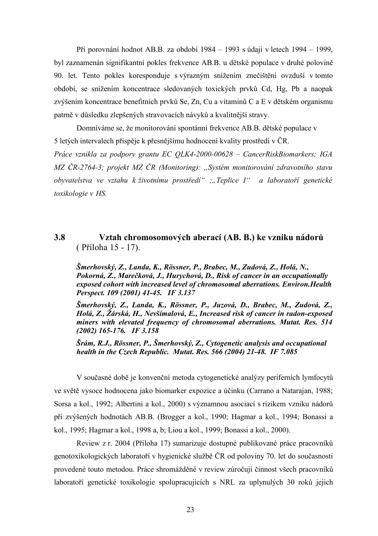Při porovnání hodnot AB.B. za období 1984 – 1993 s údaji v letech 1994 – 1999, byl zaznamenán signifikantní pokles frekvence AB.B. u dětské populace v druhé polovině 90. let. Tento pokles koresponduje s výrazným snížením znečištění ovzduší v tomto období, se snížením koncentrace sledovaných toxických prvků Cd, Hg, Pb a naopak zvýšením koncentrace benefitních prvků Se, Zn, Cu a vitaminů C a E v dětském organismu patrně v důsledku zlepšených stravovacích návyků a kvalitnější stravy.

Domníváme se, že monitorování spontánní frekvence AB.B. dětské populace v 5 letých intervalech přispěje k přesnějšímu hodnocení kvality prostředí v ČR.

*Práce vznikla za podpory grantu EC QLK4-2000-00628 – CancerRiskBiomarkers; IGA MZ ČR-2764-3; projekt MZ ČR (Monitoring): "Systém monitorování zdravotního stavu obyvatelstva ve vztahu k životnímu prostředí" ;"Teplice I" a laboratoří genetické toxikologie v HS.*

## **3.8 Vztah chromosomových aberací (AB. B.) ke vzniku nádorů** ( Příloha 15 - 17).

*Šmerhovský, Z., Landa, K., Rössner, P., Brabec, M., Zudová, Z., Holá, N., Pokorná, Z., Marečková, J., Hurychová, D., Risk of cancer in an occupationally exposed cohort with increased level of chromosomal aberrations. Environ.Health Perspect. 109 (2001) 41-45. IF 3.137*

*Šmerhovský, Z., Landa, K., Rössner, P., Juzová, D., Brabec, M., Zudová, Z., Holá, Z., Žárská, H., Nevšímalová, E., Increased risk of cancer in radon-exposed miners with elevated frequency of chromosomal aberrations. Mutat. Res. 514 (2002) 165-176. IF 3.158*

*Šrám, R.J., Rössner, P., Šmerhovský, Z., Cytogenetic analysis and occupational health in the Czech Republic. Mutat. Res. 566 (2004) 21-48. IF 7.085*

V současné době je konvenční metoda cytogenetické analýzy periferních lymfocytů ve světě vysoce hodnocena jako biomarker expozice a účinku (Carrano a Natarajan, 1988; Sorsa a kol., 1992; Albertini a kol., 2000) s významnou asociací s rizikem vzniku nádorů při zvýšených hodnotách AB.B. (Brogger a kol., 1990; Hagmar a kol., 1994; Bonassi a kol., 1995; Hagmar a kol., 1998 a, b; Liou a kol., 1999; Bonassi a kol., 2000).

Review z r. 2004 (Příloha 17) sumarizuje dostupné publikované práce pracovníků genotoxikologických laboratoří v hygienické službě ČR od poloviny 70. let do současnosti provedené touto metodou. Práce shromážděné v review zúročují činnost všech pracovníků laboratoří genetické toxikologie spolupracujících s NRL za uplynulých 30 roků jejich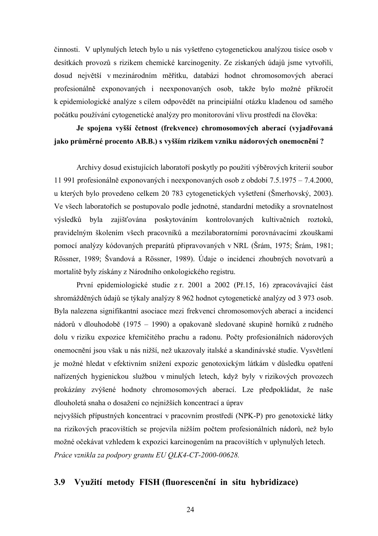činnosti. V uplynulých letech bylo u nás vyšetřeno cytogenetickou analýzou tisíce osob v desítkách provozů s rizikem chemické karcinogenity. Ze získaných údajů jsme vytvořili, dosud největší v mezinárodním měřítku, databázi hodnot chromosomových aberací profesionálně exponovaných i neexponovaných osob, takže bylo možné přikročit k epidemiologické analýze s cílem odpovědět na principiální otázku kladenou od samého počátku používání cytogenetické analýzy pro monitorování vlivu prostředí na člověka:

## **Je spojena vyšší četnost (frekvence) chromosomových aberací (vyjadřovaná jako průměrné procento AB.B.) s vyšším rizikem vzniku nádorových onemocnění ?**

Archivy dosud existujících laboratoří poskytly po použití výběrových kriterií soubor 11 991 profesionálně exponovaných i neexponovaných osob z období 7.5.1975 – 7.4.2000, u kterých bylo provedeno celkem 20 783 cytogenetických vyšetření (Šmerhovský, 2003). Ve všech laboratořích se postupovalo podle jednotné, standardní metodiky a srovnatelnost výsledků byla zajišťována poskytováním kontrolovaných kultivačních roztoků, pravidelným školením všech pracovníků a mezilaboratorními porovnávacími zkouškami pomocí analýzy kódovaných preparátů připravovaných v NRL (Šrám, 1975; Šrám, 1981; Rössner, 1989; Švandová a Rössner, 1989). Údaje o incidenci zhoubných novotvarů a mortalitě byly získány z Národního onkologického registru.

První epidemiologické studie z r. 2001 a 2002 (Př.15, 16) zpracovávající část shromážděných údajů se týkaly analýzy 8 962 hodnot cytogenetické analýzy od 3 973 osob. Byla nalezena signifikantní asociace mezi frekvencí chromosomových aberací a incidencí nádorů v dlouhodobě (1975 – 1990) a opakovaně sledované skupině horníků z rudného dolu v riziku expozice křemičitého prachu a radonu. Počty profesionálních nádorových onemocnění jsou však u nás nižší, než ukazovaly italské a skandinávské studie. Vysvětlení je možné hledat v efektivním snížení expozic genotoxickým látkám v důsledku opatření nařízených hygienickou službou v minulých letech, když byly v rizikových provozech prokázány zvýšené hodnoty chromosomových aberací. Lze předpokládat, že naše dlouholetá snaha o dosažení co nejnižších koncentrací a úprav

nejvyšších přípustných koncentrací v pracovním prostředí (NPK-P) pro genotoxické látky na rizikových pracovištích se projevila nižším počtem profesionálních nádorů, než bylo možné očekávat vzhledem k expozici karcinogenům na pracovištích v uplynulých letech. *Práce vznikla za podpory grantu EU QLK4-CT-2000-00628.*

#### **3.9 Využití metody FISH (fluorescenční in situ hybridizace)**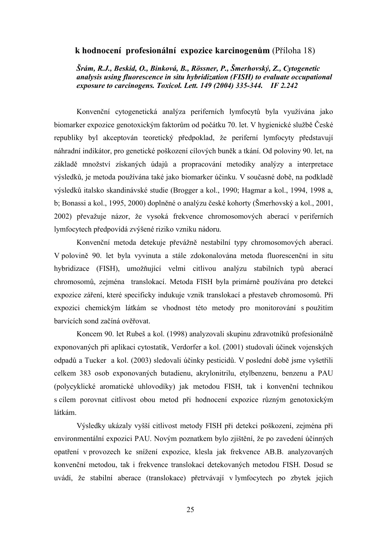#### **k hodnocení profesionální expozice karcinogenům** (Příloha 18)

*Šrám, R.J., Beskid, O., Binková, B., Rössner, P., Šmerhovský, Z., Cytogenetic analysis using fluorescence in situ hybridization (FISH) to evaluate occupational exposure to carcinogens. Toxicol. Lett. 149 (2004) 335-344. IF 2.242* 

Konvenční cytogenetická analýza periferních lymfocytů byla využívána jako biomarker expozice genotoxickým faktorům od počátku 70. let. V hygienické službě České republiky byl akceptován teoretický předpoklad, že periferní lymfocyty představují náhradní indikátor, pro genetické poškození cílových buněk a tkání. Od poloviny 90. let, na základě množství získaných údajů a propracování metodiky analýzy a interpretace výsledků, je metoda používána také jako biomarker účinku. V současné době, na podkladě výsledků italsko skandinávské studie (Brogger a kol., 1990; Hagmar a kol., 1994, 1998 a, b; Bonassi a kol., 1995, 2000) doplněné o analýzu české kohorty (Šmerhovský a kol., 2001, 2002) převažuje názor, že vysoká frekvence chromosomových aberací v periferních lymfocytech předpovídá zvýšené riziko vzniku nádoru.

Konvenční metoda detekuje převážně nestabilní typy chromosomových aberací. V polovině 90. let byla vyvinuta a stále zdokonalována metoda fluorescenční in situ hybridizace (FISH), umožňující velmi citlivou analýzu stabilních typů aberací chromosomů, zejména translokací. Metoda FISH byla primárně používána pro detekci expozice záření, které specificky indukuje vznik translokací a přestaveb chromosomů. Při expozici chemickým látkám se vhodnost této metody pro monitorování s použitím barvících sond začíná ověřovat.

Koncem 90. let Rubeš a kol. (1998) analyzovali skupinu zdravotníků profesionálně exponovaných při aplikaci cytostatik, Verdorfer a kol. (2001) studovali účinek vojenských odpadů a Tucker a kol. (2003) sledovali účinky pesticidů. V poslední době jsme vyšetřili celkem 383 osob exponovaných butadienu, akrylonitrilu, etylbenzenu, benzenu a PAU (polycyklické aromatické uhlovodíky) jak metodou FISH, tak i konvenční technikou s cílem porovnat citlivost obou metod při hodnocení expozice různým genotoxickým látkám.

Výsledky ukázaly vyšší citlivost metody FISH při detekci poškození, zejména při environmentální expozici PAU. Novým poznatkem bylo zjištění, že po zavedení účinných opatření v provozech ke snížení expozice, klesla jak frekvence AB.B. analyzovaných konvenční metodou, tak i frekvence translokací detekovaných metodou FISH. Dosud se uvádí, že stabilní aberace (translokace) přetrvávají v lymfocytech po zbytek jejich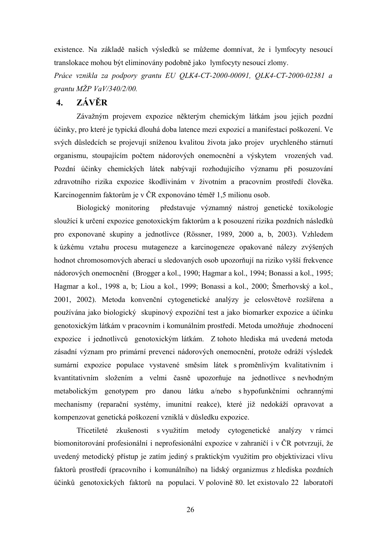existence. Na základě našich výsledků se můžeme domnívat, že i lymfocyty nesoucí translokace mohou být eliminovány podobně jako lymfocyty nesoucí zlomy.

*Práce vznikla za podpory grantu EU QLK4-CT-2000-00091, QLK4-CT-2000-02381 a grantu MŽP VaV/340/2/00.*

## **4. ZÁVĚR**

Závažným projevem expozice některým chemickým látkám jsou jejich pozdní účinky, pro které je typická dlouhá doba latence mezi expozicí a manifestací poškození. Ve svých důsledcích se projevují sníženou kvalitou života jako projev urychleného stárnutí organismu, stoupajícím počtem nádorových onemocnění a výskytem vrozených vad. Pozdní účinky chemických látek nabývají rozhodujícího významu při posuzování zdravotního rizika expozice škodlivinám v životním a pracovním prostředí člověka. Karcinogenním faktorům je v ČR exponováno téměř 1,5 milionu osob.

Biologický monitoring představuje významný nástroj genetické toxikologie sloužící k určení expozice genotoxickým faktorům a k posouzení rizika pozdních následků pro exponované skupiny a jednotlivce (Rössner, 1989, 2000 a, b, 2003). Vzhledem k úzkému vztahu procesu mutageneze a karcinogeneze opakované nálezy zvýšených hodnot chromosomových aberací u sledovaných osob upozorňují na riziko vyšší frekvence nádorových onemocnění (Brogger a kol., 1990; Hagmar a kol., 1994; Bonassi a kol., 1995; Hagmar a kol., 1998 a, b; Liou a kol., 1999; Bonassi a kol., 2000; Šmerhovský a kol., 2001, 2002). Metoda konvenční cytogenetické analýzy je celosvětově rozšířena a používána jako biologický skupinový expoziční test a jako biomarker expozice a účinku genotoxickým látkám v pracovním i komunálním prostředí. Metoda umožňuje zhodnocení expozice i jednotlivců genotoxickým látkám. Z tohoto hlediska má uvedená metoda zásadní význam pro primární prevenci nádorových onemocnění, protože odráží výsledek sumární expozice populace vystavené směsím látek s proměnlivým kvalitativním i kvantitativním složením a velmi časně upozorňuje na jednotlivce s nevhodným metabolickým genotypem pro danou látku a/nebo s hypofunkčními ochrannými mechanismy (reparační systémy, imunitní reakce), které již nedokáží opravovat a kompenzovat genetická poškození vzniklá v důsledku expozice.

Třicetileté zkušenosti s využitím metody cytogenetické analýzy v rámci biomonitorování profesionální i neprofesionální expozice v zahraničí i v ČR potvrzují, že uvedený metodický přístup je zatím jediný s praktickým využitím pro objektivizaci vlivu faktorů prostředí (pracovního i komunálního) na lidský organizmus z hlediska pozdních účinků genotoxických faktorů na populaci. V polovině 80. let existovalo 22 laboratoří

26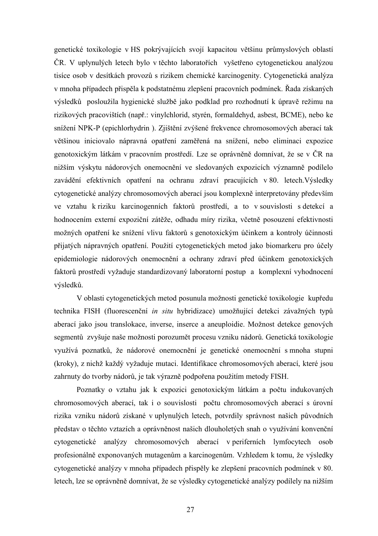genetické toxikologie v HS pokrývajících svojí kapacitou většinu průmyslových oblastí ČR. V uplynulých letech bylo v těchto laboratořích vyšetřeno cytogenetickou analýzou tisíce osob v desítkách provozů s rizikem chemické karcinogenity. Cytogenetická analýza v mnoha případech přispěla k podstatnému zlepšení pracovních podmínek. Řada získaných výsledků posloužila hygienické službě jako podklad pro rozhodnutí k úpravě režimu na rizikových pracovištích (např.: vinylchlorid, styrén, formaldehyd, asbest, BCME), nebo ke snížení NPK-P (epichlorhydrin ). Zjištění zvýšené frekvence chromosomových aberací tak většinou iniciovalo nápravná opatření zaměřená na snížení, nebo eliminaci expozice genotoxickým látkám v pracovním prostředí. Lze se oprávněně domnívat, že se v ČR na nižším výskytu nádorových onemocnění ve sledovaných expozicích významně podílelo zavádění efektivních opatření na ochranu zdraví pracujících v 80. letech.Výsledky cytogenetické analýzy chromosomových aberací jsou komplexně interpretovány především ve vztahu k riziku karcinogenních faktorů prostředí, a to v souvislosti s detekcí a hodnocením externí expoziční zátěže, odhadu míry rizika, včetně posouzení efektivnosti možných opatření ke snížení vlivu faktorů s genotoxickým účinkem a kontroly účinnosti přijatých nápravných opatření. Použití cytogenetických metod jako biomarkeru pro účely epidemiologie nádorových onemocnění a ochrany zdraví před účinkem genotoxických faktorů prostředí vyžaduje standardizovaný laboratorní postup a komplexní vyhodnocení výsledků.

V oblasti cytogenetických metod posunula možnosti genetické toxikologie kupředu technika FISH (fluorescenční *in situ* hybridizace) umožňující detekci závažných typů aberací jako jsou translokace, inverse, inserce a aneuploidie. Možnost detekce genových segmentů zvyšuje naše možnosti porozumět procesu vzniku nádorů. Genetická toxikologie využívá poznatků, že nádorové onemocnění je genetické onemocnění s mnoha stupni (kroky), z nichž každý vyžaduje mutaci. Identifikace chromosomových aberací, které jsou zahrnuty do tvorby nádorů, je tak výrazně podpořena použitím metody FISH.

Poznatky o vztahu jak k expozici genotoxickým látkám a počtu indukovaných chromosomových aberací, tak i o souvislosti počtu chromosomových aberací s úrovní rizika vzniku nádorů získané v uplynulých letech, potvrdily správnost našich původních představ o těchto vztazích a oprávněnost našich dlouholetých snah o využívání konvenční cytogenetické analýzy chromosomových aberací v periferních lymfocytech osob profesionálně exponovaných mutagenům a karcinogenům. Vzhledem k tomu, že výsledky cytogenetické analýzy v mnoha případech přispěly ke zlepšení pracovních podmínek v 80. letech, lze se oprávněně domnívat, že se výsledky cytogenetické analýzy podílely na nižším

27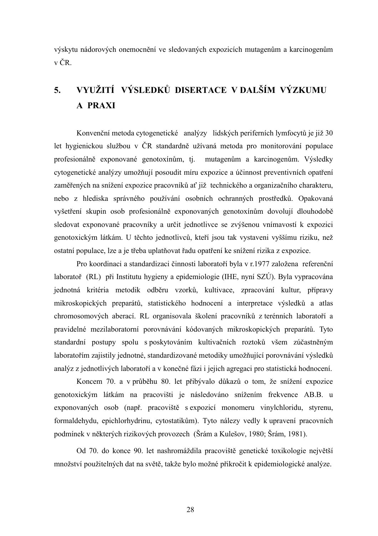výskytu nádorových onemocnění ve sledovaných expozicích mutagenům a karcinogenům v ČR.

# **5. VYUŽITÍ VÝSLEDKŮ DISERTACE V DALŠÍM VÝZKUMU A PRAXI**

Konvenční metoda cytogenetické analýzy lidských periferních lymfocytů je již 30 let hygienickou službou v ČR standardně užívaná metoda pro monitorování populace profesionálně exponované genotoxínům, tj. mutagenům a karcinogenům. Výsledky cytogenetické analýzy umožňují posoudit míru expozice a účinnost preventivních opatření zaměřených na snížení expozice pracovníků ať již technického a organizačního charakteru, nebo z hlediska správného používání osobních ochranných prostředků. Opakovaná vyšetření skupin osob profesionálně exponovaných genotoxínům dovolují dlouhodobě sledovat exponované pracovníky a určit jednotlivce se zvýšenou vnímavostí k expozici genotoxickým látkám. U těchto jednotlivců, kteří jsou tak vystaveni vyššímu riziku, než ostatní populace, lze a je třeba uplatňovat řadu opatření ke snížení rizika z expozice.

Pro koordinaci a standardizaci činnosti laboratoří byla v r.1977 založena referenční laboratoř (RL) při Institutu hygieny a epidemiologie (IHE, nyní SZÚ). Byla vypracována jednotná kritéria metodik odběru vzorků, kultivace, zpracování kultur, přípravy mikroskopických preparátů, statistického hodnocení a interpretace výsledků a atlas chromosomových aberací. RL organisovala školení pracovníků z terénních laboratoří a pravidelné mezilaboratorní porovnávání kódovaných mikroskopických preparátů. Tyto standardní postupy spolu s poskytováním kultivačních roztoků všem zúčastněným laboratořím zajistily jednotné, standardizované metodiky umožňující porovnávání výsledků analýz z jednotlivých laboratoří a v konečné fázi i jejich agregaci pro statistická hodnocení.

Koncem 70. a v průběhu 80. let přibývalo důkazů o tom, že snížení expozice genotoxickým látkám na pracovišti je následováno snížením frekvence AB.B. u exponovaných osob (např. pracoviště s expozicí monomeru vinylchloridu, styrenu, formaldehydu, epichlorhydrinu, cytostatikům). Tyto nálezy vedly k upravení pracovních podmínek v některých rizikových provozech (Šrám a Kulešov, 1980; Šrám, 1981).

Od 70. do konce 90. let nashromáždila pracoviště genetické toxikologie největší množství použitelných dat na světě, takže bylo možné přikročit k epidemiologické analýze.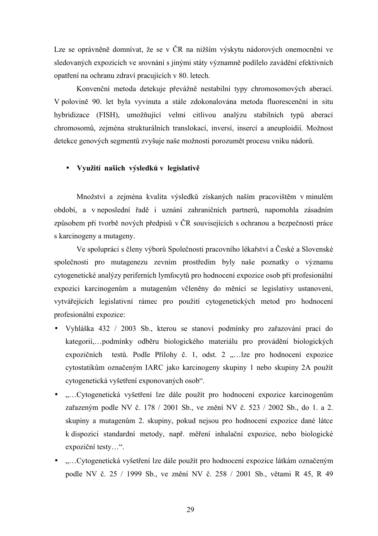Lze se oprávněně domnívat, že se v ČR na nižším výskytu nádorových onemocnění ve sledovaných expozicích ve srovnání s jinými státy významně podílelo zavádění efektivních opatření na ochranu zdraví pracujících v 80. letech.

Konvenční metoda detekuje převážně nestabilní typy chromosomových aberací. V polovině 90. let byla vyvinuta a stále zdokonalována metoda fluorescenční in situ hybridizace (FISH), umožňující velmi citlivou analýzu stabilních typů aberací chromosomů, zejména strukturálních translokací, inversí, insercí a aneuploidií. Možnost detekce genových segmentů zvyšuje naše možnosti porozumět procesu vniku nádorů.

#### • **Využití našich výsledků v legislativě**

Množství a zejména kvalita výsledků získaných naším pracovištěm v minulém období, a v neposlední řadě i uznání zahraničních partnerů, napomohla zásadním způsobem při tvorbě nových předpisů v ČR souvisejících s ochranou a bezpečností práce s karcinogeny a mutageny.

Ve spolupráci s členy výborů Společnosti pracovního lékařství a České a Slovenské společnosti pro mutagenezu zevním prostředím byly naše poznatky o významu cytogenetické analýzy periferních lymfocytů pro hodnocení expozice osob při profesionální expozici karcinogenům a mutagenům včleněny do měnící se legislativy ustanovení, vytvářejících legislativní rámec pro použití cytogenetických metod pro hodnocení profesionální expozice:

- Vyhláška 432 / 2003 Sb., kterou se stanoví podmínky pro zařazování prací do kategorií,…podmínky odběru biologického materiálu pro provádění biologických expozičních testů. Podle Přílohy č. 1, odst. 2 .... lze pro hodnocení expozice cytostatikům označeným IARC jako karcinogeny skupiny 1 nebo skupiny 2A použít cytogenetická vyšetření exponovaných osob".
- "...Cytogenetická vyšetření lze dále použít pro hodnocení expozice karcinogenům zařazeným podle NV č. 178 / 2001 Sb., ve znění NV č. 523 / 2002 Sb., do 1. a 2. skupiny a mutagenům 2. skupiny, pokud nejsou pro hodnocení expozice dané látce k dispozici standardní metody, např. měření inhalační expozice, nebo biologické expoziční testy…".
- "...Cytogenetická vyšetření lze dále použít pro hodnocení expozice látkám označeným podle NV č. 25 / 1999 Sb., ve znění NV č. 258 / 2001 Sb., větami R 45, R 49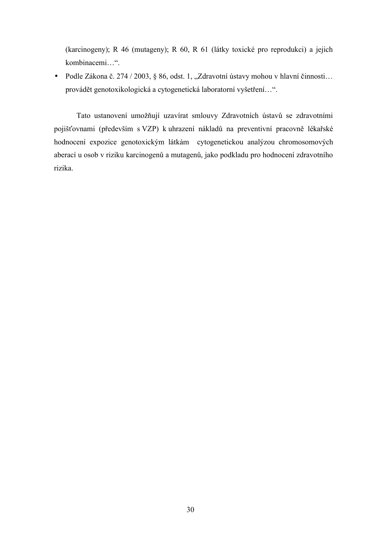(karcinogeny); R 46 (mutageny); R 60, R 61 (látky toxické pro reprodukci) a jejich kombinacemi…".

• Podle Zákona č. 274 / 2003, § 86, odst. 1, "Zdravotní ústavy mohou v hlavní činnosti... provádět genotoxikologická a cytogenetická laboratorní vyšetření…".

Tato ustanovení umožňují uzavírat smlouvy Zdravotních ústavů se zdravotními pojišťovnami (především s VZP) k uhrazení nákladů na preventivní pracovně lékařské hodnocení expozice genotoxickým látkám cytogenetickou analýzou chromosomových aberací u osob v riziku karcinogenů a mutagenů, jako podkladu pro hodnocení zdravotního rizika.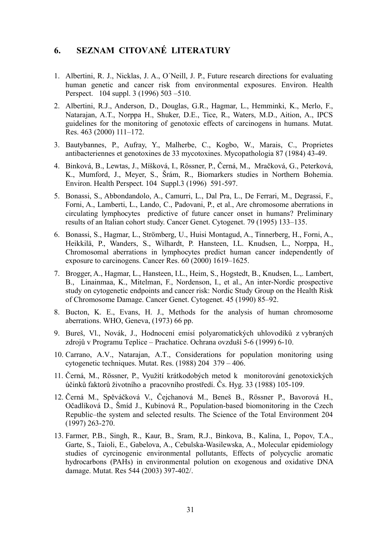## **6. SEZNAM CITOVANÉ LITERATURY**

- 1. Albertini, R. J., Nicklas, J. A., O´Neill, J. P., Future research directions for evaluating human genetic and cancer risk from environmental exposures. Environ. Health Perspect. 104 suppl. 3 (1996) 503 –510.
- 2. Albertini, R.J., Anderson, D., Douglas, G.R., Hagmar, L., Hemminki, K., Merlo, F., Natarajan, A.T., Norppa H., Shuker, D.E., Tice, R., Waters, M.D., Aition, A., IPCS guidelines for the monitoring of genotoxic effects of carcinogens in humans. Mutat. Res. 463 (2000) 111–172.
- 3. Bautybannes, P., Aufray, Y., Malherbe, C., Kogbo, W., Marais, C., Proprietes antibacteriennes et genotoxines de 33 mycotoxines. Mycopathologia 87 (1984) 43-49.
- 4. Binková, B., Lewtas, J., Míšková, I., Rössner, P., Černá, M., Mračková, G., Peterková, K., Mumford, J., Meyer, S., Šrám, R., Biomarkers studies in Northern Bohemia. Environ. Health Perspect. 104 Suppl.3 (1996) 591-597.
- 5. Bonassi, S., Abbondandolo, A., Camurri, L., Dal Pra, L., De Ferrari, M., Degrassi, F., Forni, A., Lamberti, L., Lando, C., Padovani, P., et al., Are chromosome aberrations in circulating lymphocytes predictive of future cancer onset in humans? Preliminary results of an Italian cohort study. Cancer Genet. Cytogenet. 79 (1995) 133–135.
- 6. Bonassi, S., Hagmar, L., Strömberg, U., Huisi Montagud, A., Tinnerberg, H., Forni, A., Heikkilä, P., Wanders, S., Wilhardt, P. Hansteen, I.L. Knudsen, L., Norppa, H., Chromosomal aberrations in lymphocytes predict human cancer independently of exposure to carcinogens. Cancer Res. 60 (2000) 1619–1625.
- 7. Brogger, A., Hagmar, L., Hansteen, I.L., Heim, S., Hogstedt, B., Knudsen, L.,. Lambert, B., Linainmaa, K., Mitelman, F., Nordenson, I., et al., An inter-Nordic prospective study on cytogenetic endpoints and cancer risk: Nordic Study Group on the Health Risk of Chromosome Damage. Cancer Genet. Cytogenet. 45 (1990) 85–92.
- 8. Bucton, K. E., Evans, H. J., Methods for the analysis of human chromosome aberrations. WHO, Geneva, (1973) 66 pp.
- 9. Bureš, Vl., Novák, J., Hodnocení emisí polyaromatických uhlovodíků z vybraných zdrojů v Programu Teplice – Prachatice. Ochrana ovzduší 5-6 (1999) 6-10.
- 10. Carrano, A.V., Natarajan, A.T., Considerations for population monitoring using cytogenetic techniques. Mutat. Res. (1988) 204 379 – 406.
- 11. Černá, M., Rössner, P., Využití krátkodobých metod k monitorování genotoxických účinků faktorů životního a pracovního prostředí. Čs. Hyg. 33 (1988) 105-109.
- 12. Černá M., Spěváčková V., Čejchanová M., Beneš B., Rössner P., Bavorová H., Očadlíková D., Šmíd J., Kubínová R., Population-based biomonitoring in the Czech Republic–the system and selected results. The Science of the Total Environment 204 (1997) 263-270.
- 13. Farmer, P.B., Singh, R., Kaur, B., Sram, R.J., Binkova, B., Kalina, I., Popov, T.A., Garte, S., Taioli, E., Gabelova, A., Cebulska-Wasilewska, A., Molecular epidemiology studies of cyrcinogenic environmental pollutants, Effects of polycyclic aromatic hydrocarbons (PAHs) in environmental polution on exogenous and oxidative DNA damage. Mutat. Res 544 (2003) 397-402/.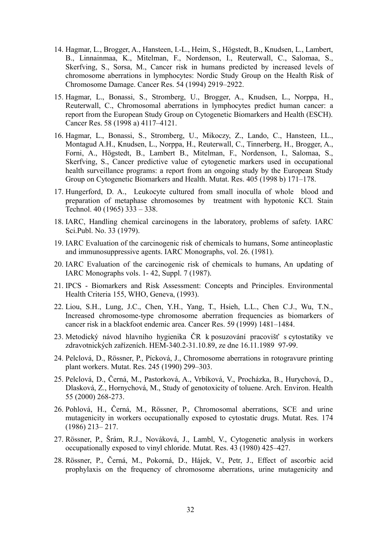- 14. Hagmar, L., Brogger, A., Hansteen, I.-L., Heim, S., Högstedt, B., Knudsen, L., Lambert, B., Linnainmaa, K., Mitelman, F., Nordenson, I., Reuterwall, C., Salomaa, S., Skerfving, S., Sorsa, M., Cancer risk in humans predicted by increased levels of chromosome aberrations in lymphocytes: Nordic Study Group on the Health Risk of Chromosome Damage. Cancer Res. 54 (1994) 2919–2922.
- 15. Hagmar, L., Bonassi, S., Stromberg, U., Brogger, A., Knudsen, L., Norppa, H., Reuterwall, C., Chromosomal aberrations in lymphocytes predict human cancer: a report from the European Study Group on Cytogenetic Biomarkers and Health (ESCH). Cancer Res. 58 (1998 a) 4117–4121.
- 16. Hagmar, L., Bonassi, S., Stromberg, U., Mikoczy, Z., Lando, C., Hansteen, I.L., Montagud A.H., Knudsen, L., Norppa, H., Reuterwall, C., Tinnerberg, H., Brogger, A., Forni, A., Högstedt, B., Lambert B., Mitelman, F., Nordenson, I., Salomaa, S., Skerfving, S., Cancer predictive value of cytogenetic markers used in occupational health surveillance programs: a report from an ongoing study by the European Study Group on Cytogenetic Biomarkers and Health. Mutat. Res. 405 (1998 b) 171–178.
- 17. Hungerford, D. A., Leukocyte cultured from small inoculla of whole blood and preparation of metaphase chromosomes by treatment with hypotonic KCl. Stain Technol. 40 (1965) 333 – 338.
- 18. IARC, Handling chemical carcinogens in the laboratory, problems of safety. IARC Sci.Publ. No. 33 (1979).
- 19. IARC Evaluation of the carcinogenic risk of chemicals to humans, Some antineoplastic and immunosuppressive agents. IARC Monographs, vol. 26. (1981).
- 20. IARC Evaluation of the carcinogenic risk of chemicals to humans, An updating of IARC Monographs vols. 1- 42, Suppl. 7 (1987).
- 21. IPCS Biomarkers and Risk Assessment: Concepts and Principles. Environmental Health Criteria 155, WHO, Geneva, (1993).
- 22. Liou, S.H., Lung, J.C., Chen, Y.H., Yang, T., Hsieh, L.L., Chen C.J., Wu, T.N., Increased chromosome-type chromosome aberration frequencies as biomarkers of cancer risk in a blackfoot endemic area. Cancer Res. 59 (1999) 1481–1484.
- 23. Metodický návod hlavního hygienika ČR k posuzování pracovišť s cytostatiky ve zdravotnických zařízeních. HEM-340.2-31.10.89, ze dne 16.11.1989 97-99.
- 24. Pelclová, D., Rössner, P., Pícková, J., Chromosome aberrations in rotogravure printing plant workers. Mutat. Res. 245 (1990) 299–303.
- 25. Pelclová, D., Černá, M., Pastorková, A., Vrbíková, V., Procházka, B., Hurychová, D., Dlasková, Z., Hornychová, M., Study of genotoxicity of toluene. Arch. Environ. Health 55 (2000) 268-273.
- 26. Pohlová, H., Černá, M., Rössner, P., Chromosomal aberrations, SCE and urine mutagenicity in workers occupationally exposed to cytostatic drugs. Mutat. Res. 174 (1986) 213– 217.
- 27. Rössner, P., Šrám, R.J., Nováková, J., Lambl, V., Cytogenetic analysis in workers occupationally exposed to vinyl chloride. Mutat. Res. 43 (1980) 425–427.
- 28. Rössner, P., Černá, M., Pokorná, D., Hájek, V., Petr, J., Effect of ascorbic acid prophylaxis on the frequency of chromosome aberrations, urine mutagenicity and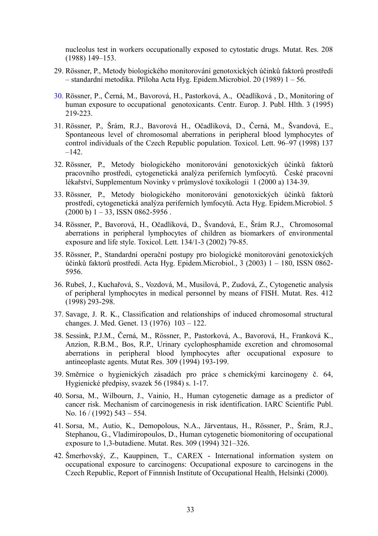nucleolus test in workers occupationally exposed to cytostatic drugs. Mutat. Res. 208 (1988) 149–153.

- 29. Rössner, P., Metody biologického monitorování genotoxických účinků faktorů prostředí – standardní metodika. Příloha Acta Hyg. Epidem.Microbiol. 20 (1989) 1 – 56.
- 30. Rössner, P., Černá, M., Bavorová, H., Pastorková, A., Očadlíková , D., Monitoring of human exposure to occupational genotoxicants. Centr. Europ. J. Publ. Hlth. 3 (1995) 219-223.
- 31. Rössner, P., Šrám, R.J., Bavorová H., Očadlíková, D., Černá, M., Švandová, E., Spontaneous level of chromosomal aberrations in peripheral blood lymphocytes of control individuals of the Czech Republic population. Toxicol. Lett. 96–97 (1998) 137  $-142.$
- 32. Rössner, P., Metody biologického monitorování genotoxických účinků faktorů pracovního prostředí, cytogenetická analýza periferních lymfocytů. České pracovní lékařství, Supplementum Novinky v průmyslové toxikologii 1 (2000 a) 134-39.
- 33. Rössner, P., Metody biologického monitorování genotoxických účinků faktorů prostředí, cytogenetická analýza periferních lymfocytů. Acta Hyg. Epidem.Microbiol. 5  $(2000 b) 1 - 33$ , ISSN 0862-5956.
- 34. Rössner, P., Bavorová, H., Očadlíková, D., Švandová, E., Šrám R.J., Chromosomal aberrations in peripheral lymphocytes of children as biomarkers of environmental exposure and life style. Toxicol. Lett. 134/1-3 (2002) 79-85.
- 35. Rössner, P., Standardní operační postupy pro biologické monitorování genotoxických účinků faktorů prostředí. Acta Hyg. Epidem.Microbiol., 3 (2003) 1 – 180, ISSN 0862- 5956.
- 36. Rubeš, J., Kuchařová, S., Vozdová, M., Musilová, P., Zudová, Z., Cytogenetic analysis of peripheral lymphocytes in medical personnel by means of FISH. Mutat. Res. 412 (1998) 293-298.
- 37. Savage, J. R. K., Classification and relationships of induced chromosomal structural changes. J. Med. Genet. 13 (1976) 103 – 122.
- 38. Sessink, P.J.M., Černá, M., Rössner, P., Pastorková, A., Bavorová, H., Franková K., Anzion, R.B.M., Bos, R.P., Urinary cyclophosphamide excretion and chromosomal aberrations in peripheral blood lymphocytes after occupational exposure to antineoplastc agents. Mutat Res. 309 (1994) 193-199.
- 39. Směrnice o hygienických zásadách pro práce s chemickými karcinogeny č. 64, Hygienické předpisy, svazek 56 (1984) s. 1-17.
- 40. Sorsa, M., Wilbourn, J., Vainio, H., Human cytogenetic damage as a predictor of cancer risk. Mechanism of carcinogenesis in risk identification. IARC Scientific Publ. No. 16 / (1992) 543 – 554.
- 41. Sorsa, M., Autio, K., Demopolous, N.A., Järventaus, H., Rössner, P., Šrám, R.J., Stephanou, G., Vladimiropoulos, D., Human cytogenetic biomonitoring of occupational exposure to 1,3-butadiene. Mutat. Res. 309 (1994) 321–326.
- 42. Šmerhovský, Z., Kauppinen, T., CAREX International information system on occupational exposure to carcinogens: Occupational exposure to carcinogens in the Czech Republic, Report of Finnnish Institute of Occupational Health, Helsinki (2000).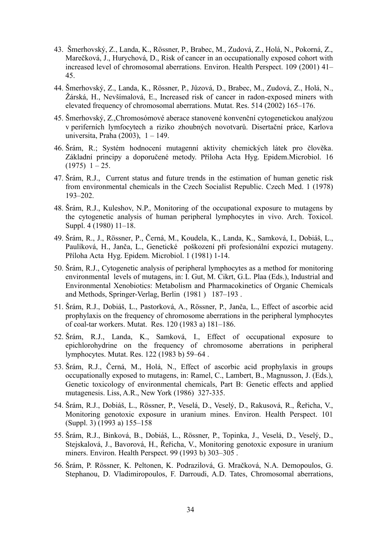- 43. Šmerhovský, Z., Landa, K., Rössner, P., Brabec, M., Zudová, Z., Holá, N., Pokorná, Z., Marečková, J., Hurychová, D., Risk of cancer in an occupationally exposed cohort with increased level of chromosomal aberrations. Environ. Health Perspect. 109 (2001) 41– 45.
- 44. Šmerhovský, Z., Landa, K., Rössner, P., Jůzová, D., Brabec, M., Zudová, Z., Holá, N., Žárská, H., Nevšímalová, E., Increased risk of cancer in radon-exposed miners with elevated frequency of chromosomal aberrations. Mutat. Res. 514 (2002) 165–176.
- 45. Šmerhovský, Z.,Chromosómové aberace stanovené konvenční cytogenetickou analýzou v periferních lymfocytech a riziko zhoubných novotvarů. Disertační práce, Karlova universita, Praha (2003), 1 – 149.
- 46. Šrám, R.; Systém hodnocení mutagenní aktivity chemických látek pro člověka. Základní principy a doporučené metody. Příloha Acta Hyg. Epidem.Microbiol. 16  $(1975)$  1 – 25.
- 47. Šrám, R.J., Current status and future trends in the estimation of human genetic risk from environmental chemicals in the Czech Socialist Republic. Czech Med. 1 (1978) 193–202.
- 48. Šrám, R.J., Kuleshov, N.P., Monitoring of the occupational exposure to mutagens by the cytogenetic analysis of human peripheral lymphocytes in vivo. Arch. Toxicol. Suppl. 4 (1980) 11–18.
- 49. Šrám, R., J., Rössner, P., Černá, M., Koudela, K., Landa, K., Samková, I., Dobiáš, L., Paulíková, H., Janča, L., Genetické poškození při profesionální expozici mutageny. Příloha Acta Hyg. Epidem. Microbiol. 1 (1981) 1-14.
- 50. Šrám, R.J., Cytogenetic analysis of peripheral lymphocytes as a method for monitoring environmental levels of mutagens, in: I. Gut, M. Cikrt, G.L. Plaa (Eds.), Industrial and Environmental Xenobiotics: Metabolism and Pharmacokinetics of Organic Chemicals and Methods, Springer-Verlag, Berlin (1981 ) 187–193 .
- 51. Šrám, R.J., Dobiáš, L., Pastorková, A., Rössner, P., Janča, L., Effect of ascorbic acid prophylaxis on the frequency of chromosome aberrations in the peripheral lymphocytes of coal-tar workers. Mutat. Res. 120 (1983 a) 181–186.
- 52. Šrám, R.J., Landa, K., Samková, I., Effect of occupational exposure to epichlorohydrine on the frequency of chromosome aberrations in peripheral lymphocytes. Mutat. Res. 122 (1983 b) 59–64 .
- 53. Šrám, R.J., Černá, M., Holá, N., Effect of ascorbic acid prophylaxis in groups occupationally exposed to mutagens, in: Ramel, C., Lambert, B., Magnusson, J. (Eds.), Genetic toxicology of environmental chemicals, Part B: Genetic effects and applied mutagenesis. Liss, A.R., New York (1986) 327-335.
- 54. Šrám, R.J., Dobiáš, L., Rössner, P., Veselá, D., Veselý, D., Rakusová, R., Řeřicha, V., Monitoring genotoxic exposure in uranium mines. Environ. Health Perspect. 101 (Suppl. 3) (1993 a) 155–158
- 55. Šrám, R.J., Binková, B., Dobiáš, L., Rössner, P., Topinka, J., Veselá, D., Veselý, D., Stejskalová, J., Bavorová, H., Řeřicha, V., Monitoring genotoxic exposure in uranium miners. Environ. Health Perspect. 99 (1993 b) 303–305 .
- 56. Šrám, P. Rössner, K. Peltonen, K. Podrazilová, G. Mračková, N.A. Demopoulos, G. Stephanou, D. Vladimiropoulos, F. Darroudi, A.D. Tates, Chromosomal aberrations,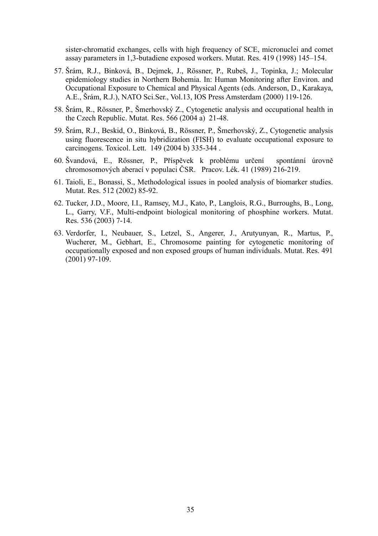sister-chromatid exchanges, cells with high frequency of SCE, micronuclei and comet assay parameters in 1,3-butadiene exposed workers. Mutat. Res. 419 (1998) 145–154.

- 57. Šrám, R.J., Binková, B., Dejmek, J., Rössner, P., Rubeš, J., Topinka, J.; Molecular epidemiology studies in Northern Bohemia. In: Human Monitoring after Environ. and Occupational Exposure to Chemical and Physical Agents (eds. Anderson, D., Karakaya, A.E., Šrám, R.J.), NATO Sci.Ser., Vol.13, IOS Press Amsterdam (2000) 119-126.
- 58. Šrám, R., Rössner, P., Šmerhovský Z., Cytogenetic analysis and occupational health in the Czech Republic. Mutat. Res. 566 (2004 a) 21-48.
- 59. Šrám, R.J., Beskid, O., Binková, B., Rössner, P., Šmerhovský, Z., Cytogenetic analysis using fluorescence in situ hybridization (FISH) to evaluate occupational exposure to carcinogens. Toxicol. Lett. 149 (2004 b) 335-344 .
- 60. Švandová, E., Rössner, P., Příspěvek k problému určení spontánní úrovně chromosomových aberací v populaci ČSR. Pracov. Lék. 41 (1989) 216-219.
- 61. Taioli, E., Bonassi, S., Methodological issues in pooled analysis of biomarker studies. Mutat. Res. 512 (2002) 85-92.
- 62. Tucker, J.D., Moore, I.I., Ramsey, M.J., Kato, P., Langlois, R.G., Burroughs, B., Long, L., Garry, V.F., Multi-endpoint biological monitoring of phosphine workers. Mutat. Res. 536 (2003) 7-14.
- 63. Verdorfer, I., Neubauer, S., Letzel, S., Angerer, J., Arutyunyan, R., Martus, P., Wucherer, M., Gebhart, E., Chromosome painting for cytogenetic monitoring of occupationally exposed and non exposed groups of human individuals. Mutat. Res. 491 (2001) 97-109.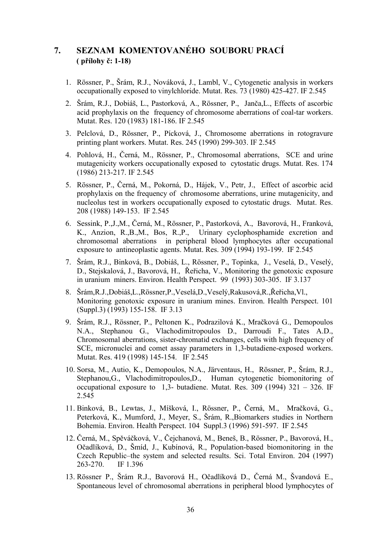## **7. SEZNAM KOMENTOVANÉHO SOUBORU PRACÍ ( přílohy č: 1-18)**

- 1. Rössner, P., Šrám, R.J., Nováková, J., Lambl, V., Cytogenetic analysis in workers occupationally exposed to vinylchloride. Mutat. Res. 73 (1980) 425-427. IF 2.545
- 2. Šrám, R.J., Dobiáš, L., Pastorková, A., Rössner, P., Janča,L., Effects of ascorbic acid prophylaxis on the frequency of chromosome aberrations of coal-tar workers. Mutat. Res. 120 (1983) 181-186. IF 2.545
- 3. Pelclová, D., Rössner, P., Pícková, J., Chromosome aberrations in rotogravure printing plant workers. Mutat. Res. 245 (1990) 299-303. IF 2.545
- 4. Pohlová, H., Černá, M., Rössner, P., Chromosomal aberrations, SCE and urine mutagenicity workers occupationally exposed to cytostatic drugs. Mutat. Res. 174 (1986) 213-217. IF 2.545
- 5. Rössner, P., Černá, M., Pokorná, D., Hájek, V., Petr, J., Effect of ascorbic acid prophylaxis on the frequency of chromosome aberrations, urine mutagenicity, and nucleolus test in workers occupationally exposed to cytostatic drugs. Mutat. Res. 208 (1988) 149-153. IF 2.545
- 6. Sessink, P.,J.,M., Černá, M., Rössner, P., Pastorková, A., Bavorová, H., Franková, K., Anzion, R.,B.,M., Bos, R.,P., Urinary cyclophosphamide excretion and chromosomal aberrations in peripheral blood lymphocytes after occupational exposure to antineoplastic agents. Mutat. Res. 309 (1994) 193-199. IF 2.545
- 7. Šrám, R.J., Binková, B., Dobiáš, L., Rössner, P., Topinka, J., Veselá, D., Veselý, D., Stejskalová, J., Bavorová, H., Řeřicha, V., Monitoring the genotoxic exposure in uranium miners. Environ. Health Perspect. 99 (1993) 303-305. IF 3.137
- 8. Šrám,R.J.,Dobiáš,L.,Rössner,P.,Veselá,D.,Veselý,Rakusová,R.,Řeřicha,Vl., Monitoring genotoxic exposure in uranium mines. Environ. Health Perspect. 101 (Suppl.3) (1993) 155-158. IF 3.13
- 9. Šrám, R.J., Rössner, P., Peltonen K., Podrazilová K., Mračková G., Demopoulos N.A., Stephanou G., Vlachodimitropoulos D., Darroudi F., Tates A.D., Chromosomal aberrations, sister-chromatid exchanges, cells with high frequency of SCE, micronuclei and comet assay parameters in 1,3-butadiene-exposed workers. Mutat. Res. 419 (1998) 145-154. IF 2.545
- 10. Sorsa, M., Autio, K., Demopoulos, N.A., Järventaus, H., Rössner, P., Šrám, R.J., Stephanou,G., Vlachodimitropoulos,D., Human cytogenetic biomonitoring of occupational exposure to 1,3- butadiene. Mutat. Res. 309 (1994) 321 – 326. IF 2.545
- 11. Binková, B., Lewtas, J., Míšková, I., Rössner, P., Černá, M., Mračková, G., Peterková, K., Mumford, J., Meyer, S., Šrám, R.,Biomarkers studies in Northern Bohemia. Environ. Health Perspect. 104 Suppl.3 (1996) 591-597. IF 2.545
- 12. Černá, M., Spěváčková, V., Čejchanová, M., Beneš, B., Rössner, P., Bavorová, H., Očadlíková, D., Šmíd, J., Kubínová, R., Population-based biomonitoring in the Czech Republic–the system and selected results. Sci. Total Environ. 204 (1997) 263-270 IF 1.396
- 13. Rössner P., Šrám R.J., Bavorová H., Očadlíková D., Černá M., Švandová E., Spontaneous level of chromosomal aberrations in peripheral blood lymphocytes of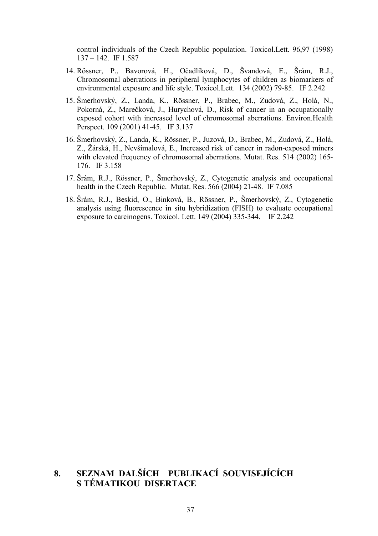control individuals of the Czech Republic population. Toxicol.Lett. 96,97 (1998) 137 – 142. IF 1.587

- 14. Rössner, P., Bavorová, H., Očadlíková, D., Švandová, E., Šrám, R.J., Chromosomal aberrations in peripheral lymphocytes of children as biomarkers of environmental exposure and life style. Toxicol.Lett. 134 (2002) 79-85. IF 2.242
- 15. Šmerhovský, Z., Landa, K., Rössner, P., Brabec, M., Zudová, Z., Holá, N., Pokorná, Z., Marečková, J., Hurychová, D., Risk of cancer in an occupationally exposed cohort with increased level of chromosomal aberrations. Environ.Health Perspect. 109 (2001) 41-45. IF 3.137
- 16. Šmerhovský, Z., Landa, K., Rössner, P., Juzová, D., Brabec, M., Zudová, Z., Holá, Z., Žárská, H., Nevšímalová, E., Increased risk of cancer in radon-exposed miners with elevated frequency of chromosomal aberrations. Mutat. Res. 514 (2002) 165- 176. IF 3.158
- 17. Šrám, R.J., Rössner, P., Šmerhovský, Z., Cytogenetic analysis and occupational health in the Czech Republic. Mutat. Res. 566 (2004) 21-48. IF 7.085
- 18. Šrám, R.J., Beskid, O., Binková, B., Rössner, P., Šmerhovský, Z., Cytogenetic analysis using fluorescence in situ hybridization (FISH) to evaluate occupational exposure to carcinogens. Toxicol. Lett. 149 (2004) 335-344. IF 2.242

## **8. SEZNAM DALŠÍCH PUBLIKACÍ SOUVISEJÍCÍCH S TÉMATIKOU DISERTACE**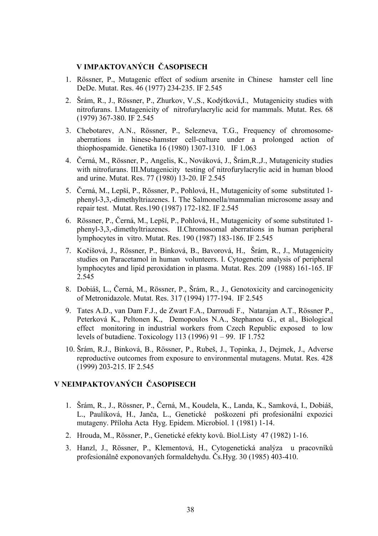### **V IMPAKTOVANÝCH ČASOPISECH**

- 1. Rössner, P., Mutagenic effect of sodium arsenite in Chinese hamster cell line DeDe. Mutat. Res. 46 (1977) 234-235. IF 2.545
- 2. Šrám, R., J., Rössner, P., Zhurkov, V.,S., Kodýtková,I., Mutagenicity studies with nitrofurans. I.Mutagenicity of nitrofurylacrylic acid for mammals. Mutat. Res. 68 (1979) 367-380. IF 2.545
- 3. Chebotarev, A.N., Rössner, P., Selezneva, T.G., Frequency of chromosomeaberrations in hinese-hamster cell-culture under a prolonged action of thiophospamide. Genetika 16 (1980) 1307-1310. IF 1.063
- 4. Černá, M., Rössner, P., Angelis, K., Nováková, J., Šrám,R.,J., Mutagenicity studies with nitrofurans. III. Mutagenicity testing of nitrofurylacrylic acid in human blood and urine. Mutat. Res. 77 (1980) 13-20. IF 2.545
- 5. Černá, M., Lepší, P., Rössner, P., Pohlová, H., Mutagenicity of some substituted 1 phenyl-3,3,-dimethyltriazenes. I. The Salmonella/mammalian microsome assay and repair test. Mutat. Res.190 (1987) 172-182. IF 2.545
- 6. Rössner, P., Černá, M., Lepší, P., Pohlová, H., Mutagenicity of some substituted 1 phenyl-3,3,-dimethyltriazenes. II.Chromosomal aberrations in human peripheral lymphocytes in vitro. Mutat. Res. 190 (1987) 183-186. IF 2.545
- 7. Kočišová, J., Rössner, P., Binková, B., Bavorová, H., Šrám, R., J., Mutagenicity studies on Paracetamol in human volunteers. I. Cytogenetic analysis of peripheral lymphocytes and lipid peroxidation in plasma. Mutat. Res. 209 (1988) 161-165. IF 2.545
- 8. Dobiáš, L., Černá, M., Rössner, P., Šrám, R., J., Genotoxicity and carcinogenicity of Metronidazole. Mutat. Res. 317 (1994) 177-194. IF 2.545
- 9. Tates A.D., van Dam F.J., de Zwart F.A., Darroudi F., Natarajan A.T., Rössner P., Peterková K., Peltonen K., Demopoulos N.A., Stephanou G., et al., Biological effect monitoring in industrial workers from Czech Republic exposed to low levels of butadiene. Toxicology 113 (1996) 91 – 99. IF 1.752
- 10. Šrám, R.J., Binková, B., Rössner, P., Rubeš, J., Topinka, J., Dejmek, J., Adverse reproductive outcomes from exposure to environmental mutagens. Mutat. Res. 428 (1999) 203-215. IF 2.545

#### **V NEIMPAKTOVANÝCH ČASOPISECH**

- 1. Šrám, R., J., Rössner, P., Černá, M., Koudela, K., Landa, K., Samková, I., Dobiáš, L., Paulíková, H., Janča, L., Genetické poškození při profesionální expozici mutageny. Příloha Acta Hyg. Epidem. Microbiol. 1 (1981) 1-14.
- 2. Hrouda, M., Rössner, P., Genetické efekty kovů. Biol.Listy 47 (1982) 1-16.
- 3. Hanzl, J., Rössner, P., Klementová, H., Cytogenetická analýza u pracovníků profesionálně exponovaných formaldehydu. Čs.Hyg. 30 (1985) 403-410.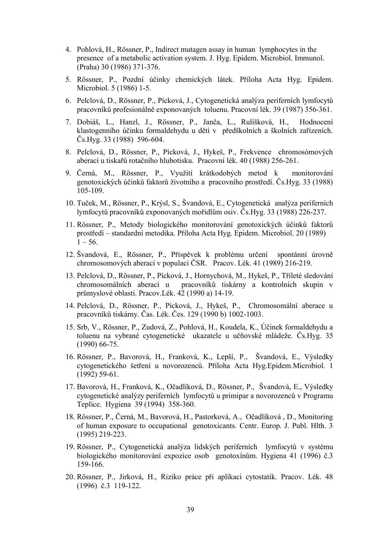- 4. Pohlová, H., Rössner, P., Indirect mutagen assay in human lymphocytes in the presence of a metabolic activation system. J. Hyg. Epidem. Microbiol. Immunol. (Praha) 30 (1986) 371-376.
- 5. Rössner, P., Pozdní účinky chemických látek. Příloha Acta Hyg. Epidem. Microbiol. 5 (1986) 1-5.
- 6. Pelclová, D., Rössner, P., Pícková, J., Cytogenetická analýza periferních lymfocytů pracovníků profesionálně exponovaných toluenu. Pracovní lék. 39 (1987) 356-361.
- 7. Dobiáš, L., Hanzl, J., Rössner, P., Janča, L., Rulíšková, H., Hodnocení klastogenního účinku formaldehydu u dětí v předškolních a školních zařízeních. Čs.Hyg. 33 (1988) 596-604.
- 8. Pelclová, D., Rössner, P., Pícková, J., Hykeš, P., Frekvence chromosómových aberací u tiskařů rotačního hlubotisku. Pracovní lék. 40 (1988) 256-261.
- 9. Černá, M., Rössner, P., Využití krátkodobých metod k monitorování genotoxických účinků faktorů životního a pracovního prostředí. Čs.Hyg. 33 (1988) 105-109.
- 10. Tuček, M., Rössner, P., Krýsl, S., Švandová, E., Cytogenetická analýza periferních lymfocytů pracovníků exponovaných mořidlům osiv. Čs.Hyg. 33 (1988) 226-237.
- 11. Rössner, P., Metody biologického monitorování genotoxických účinků faktorů prostředí – standardní metodika. Příloha Acta Hyg. Epidem. Microbiol. 20 (1989)  $1 - 56$ .
- 12. Švandová, E., Rössner, P., Příspěvek k problému určení spontánní úrovně chromosomových aberací v populaci ČSR. Pracov. Lék. 41 (1989) 216-219.
- 13. Pelclová, D., Rössner, P., Pícková, J., Hornychová, M., Hykeš, P., Tříleté sledování chromosomálních aberací u pracovníků tiskárny a kontrolních skupin v průmyslové oblasti. Pracov.Lék. 42 (1990 a) 14-19.
- 14. Pelclová, D., Rössner, P., Pícková, J., Hykeš, P., Chromosomální aberace u pracovníků tiskárny. Čas. Lék. Čes. 129 (1990 b) 1002-1003.
- 15. Srb, V., Rössner, P., Zudová, Z., Pohlová, H., Koudela, K., Účinek formaldehydu a toluenu na vybrané cytogenetické ukazatele u učňovské mládeže. Čs.Hyg. 35 (1990) 66-75.
- 16. Rössner, P., Bavorová, H., Franková, K., Lepší, P., Švandová, E., Výsledky cytogenetického šetření u novorozenců. Příloha Acta Hyg.Epidem.Microbiol. 1 (1992) 59-61.
- 17. Bavorová, H., Franková, K., Očadlíková, D., Rössner, P., Švandová, E., Výsledky cytogenetické analýzy periferních lymfocytů u primipar a novorozenců v Programu Teplice. Hygiena 39 (1994) 358-360.
- 18. Rössner, P., Černá, M., Bavorová, H., Pastorková, A., Očadlíková , D., Monitoring of human exposure to occupational genotoxicants. Centr. Europ. J. Publ. Hlth. 3 (1995) 219-223.
- 19. Rössner, P., Cytogenetická analýza lidských periferních lymfocytů v systému biologického monitorování expozice osob genotoxínům. Hygiena 41 (1996) č.3 159-166.
- 20. Rössner, P., Jirková, H., Riziko práce při aplikaci cytostatik. Pracov. Lék. 48 (1996) č.3 119-122.